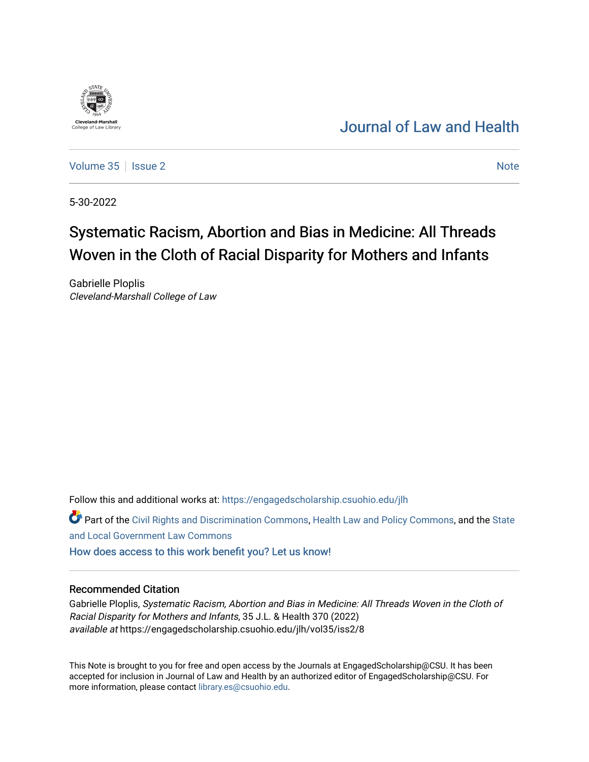# [Journal of Law and Health](https://engagedscholarship.csuohio.edu/jlh)

[Volume 35](https://engagedscholarship.csuohio.edu/jlh/vol35) | [Issue 2](https://engagedscholarship.csuohio.edu/jlh/vol35/iss2) [Note](https://engagedscholarship.csuohio.edu/jlh/vol35/iss2/8) 2 Note 2 Note 2 Note 2 Note 2 Note 2 Note 2 Note 2 Note 2 Note 2 Note 2 Note 2 Note 2 Note 2 Note 2 Note 2 Note 2 Note 2 Note 2 Note 2 Note 2 Note 2 Note 2 Note 2 Note 2 Note 2 Note 2 Note 2 Note 2

5-30-2022

**Cleveland-Marshal**<br>College of Law Libra

# Systematic Racism, Abortion and Bias in Medicine: All Threads Woven in the Cloth of Racial Disparity for Mothers and Infants

Gabrielle Ploplis Cleveland-Marshall College of Law

Follow this and additional works at: [https://engagedscholarship.csuohio.edu/jlh](https://engagedscholarship.csuohio.edu/jlh?utm_source=engagedscholarship.csuohio.edu%2Fjlh%2Fvol35%2Fiss2%2F8&utm_medium=PDF&utm_campaign=PDFCoverPages) 

Part of the [Civil Rights and Discrimination Commons,](https://network.bepress.com/hgg/discipline/585?utm_source=engagedscholarship.csuohio.edu%2Fjlh%2Fvol35%2Fiss2%2F8&utm_medium=PDF&utm_campaign=PDFCoverPages) [Health Law and Policy Commons](https://network.bepress.com/hgg/discipline/901?utm_source=engagedscholarship.csuohio.edu%2Fjlh%2Fvol35%2Fiss2%2F8&utm_medium=PDF&utm_campaign=PDFCoverPages), and the [State](https://network.bepress.com/hgg/discipline/879?utm_source=engagedscholarship.csuohio.edu%2Fjlh%2Fvol35%2Fiss2%2F8&utm_medium=PDF&utm_campaign=PDFCoverPages) [and Local Government Law Commons](https://network.bepress.com/hgg/discipline/879?utm_source=engagedscholarship.csuohio.edu%2Fjlh%2Fvol35%2Fiss2%2F8&utm_medium=PDF&utm_campaign=PDFCoverPages)

[How does access to this work benefit you? Let us know!](http://library.csuohio.edu/engaged/)

#### Recommended Citation

Gabrielle Ploplis, Systematic Racism, Abortion and Bias in Medicine: All Threads Woven in the Cloth of Racial Disparity for Mothers and Infants, 35 J.L. & Health 370 (2022) available at https://engagedscholarship.csuohio.edu/jlh/vol35/iss2/8

This Note is brought to you for free and open access by the Journals at EngagedScholarship@CSU. It has been accepted for inclusion in Journal of Law and Health by an authorized editor of EngagedScholarship@CSU. For more information, please contact [library.es@csuohio.edu](mailto:library.es@csuohio.edu).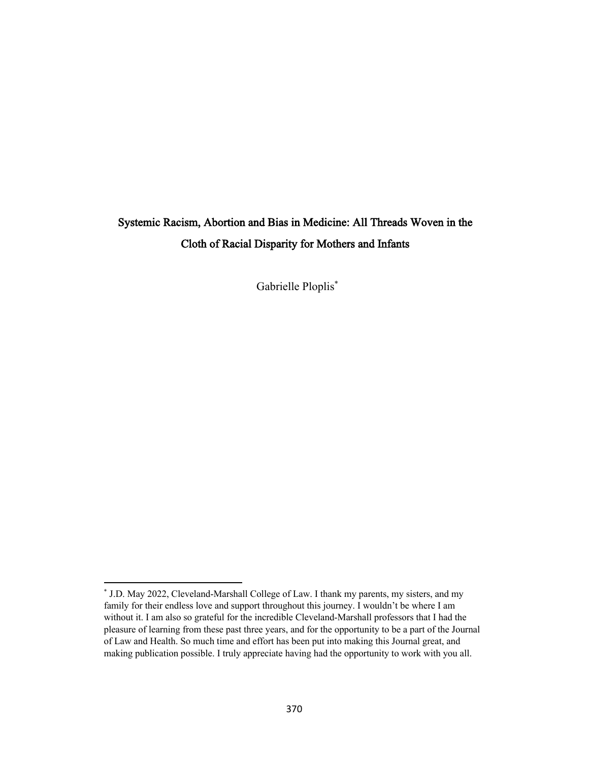# Systemic Racism, Abortion and Bias in Medicine: All Threads Woven in the Cloth of Racial Disparity for Mothers and Infants

Gabrielle Ploplis\*

<sup>\*</sup> J.D. May 2022, Cleveland-Marshall College of Law. I thank my parents, my sisters, and my family for their endless love and support throughout this journey. I wouldn't be where I am without it. I am also so grateful for the incredible Cleveland-Marshall professors that I had the pleasure of learning from these past three years, and for the opportunity to be a part of the Journal of Law and Health. So much time and effort has been put into making this Journal great, and making publication possible. I truly appreciate having had the opportunity to work with you all.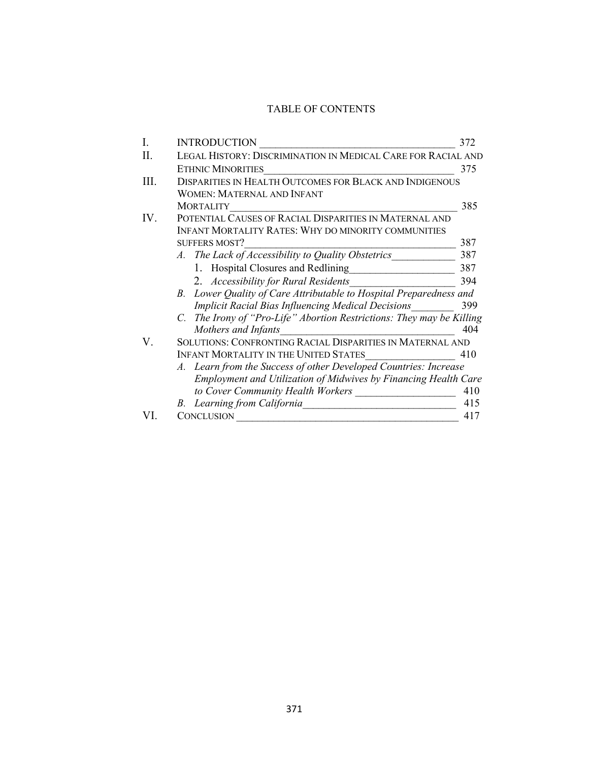### TABLE OF CONTENTS

| I.  | <b>INTRODUCTION</b>                                                        | 372 |
|-----|----------------------------------------------------------------------------|-----|
| Н.  | LEGAL HISTORY: DISCRIMINATION IN MEDICAL CARE FOR RACIAL AND               |     |
|     | <b>ETHNIC MINORITIES</b>                                                   | 375 |
| Ш.  | <b>DISPARITIES IN HEALTH OUTCOMES FOR BLACK AND INDIGENOUS</b>             |     |
|     | WOMEN: MATERNAL AND INFANT                                                 |     |
|     | <b>MORTALITY</b>                                                           | 385 |
| IV. | POTENTIAL CAUSES OF RACIAL DISPARITIES IN MATERNAL AND                     |     |
|     | <b>INFANT MORTALITY RATES: WHY DO MINORITY COMMUNITIES</b>                 |     |
|     | <b>SUFFERS MOST?</b>                                                       | 387 |
|     | A. The Lack of Accessibility to Quality Obstetrics                         | 387 |
|     | 1. Hospital Closures and Redlining                                         | 387 |
|     | 2. Accessibility for Rural Residents                                       | 394 |
|     | Lower Quality of Care Attributable to Hospital Preparedness and<br>$B_{-}$ |     |
|     | Implicit Racial Bias Influencing Medical Decisions                         | 399 |
|     | C. The Irony of "Pro-Life" Abortion Restrictions: They may be Killing      |     |
|     | Mothers and Infants                                                        | 404 |
| V.  | SOLUTIONS: CONFRONTING RACIAL DISPARITIES IN MATERNAL AND                  |     |
|     | <b>INFANT MORTALITY IN THE UNITED STATES</b>                               | 410 |
|     | A. Learn from the Success of other Developed Countries: Increase           |     |
|     | Employment and Utilization of Midwives by Financing Health Care            |     |
|     | to Cover Community Health Workers                                          | 410 |
|     | B. Learning from California                                                | 415 |
|     | <b>CONCLUSION</b>                                                          | 417 |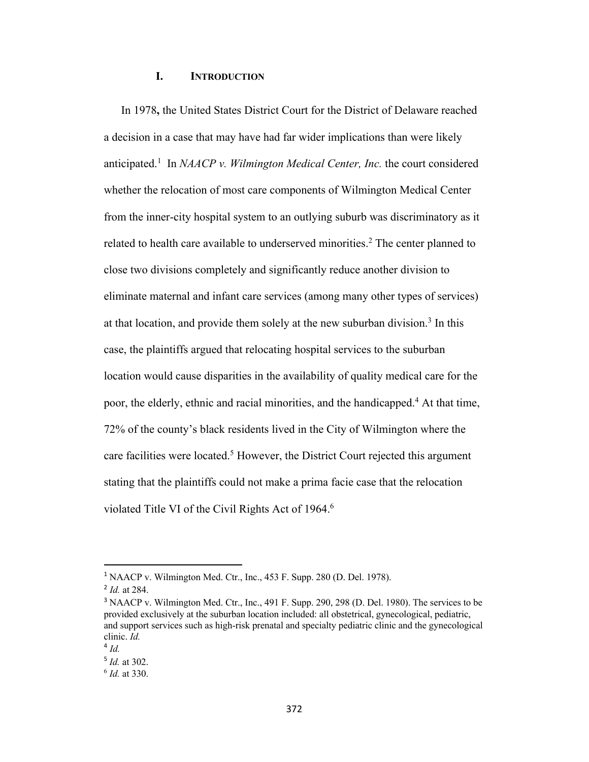#### **I. INTRODUCTION**

In 1978**,** the United States District Court for the District of Delaware reached a decision in a case that may have had far wider implications than were likely anticipated.<sup>1</sup> In *NAACP v. Wilmington Medical Center, Inc.* the court considered whether the relocation of most care components of Wilmington Medical Center from the inner-city hospital system to an outlying suburb was discriminatory as it related to health care available to underserved minorities.<sup>2</sup> The center planned to close two divisions completely and significantly reduce another division to eliminate maternal and infant care services (among many other types of services) at that location, and provide them solely at the new suburban division.<sup>3</sup> In this case, the plaintiffs argued that relocating hospital services to the suburban location would cause disparities in the availability of quality medical care for the poor, the elderly, ethnic and racial minorities, and the handicapped.4 At that time, 72% of the county's black residents lived in the City of Wilmington where the care facilities were located.<sup>5</sup> However, the District Court rejected this argument stating that the plaintiffs could not make a prima facie case that the relocation violated Title VI of the Civil Rights Act of 1964.<sup>6</sup>

<sup>1</sup> NAACP v. Wilmington Med. Ctr., Inc., 453 F. Supp. 280 (D. Del. 1978).

<sup>2</sup> *Id.* at 284.

<sup>&</sup>lt;sup>3</sup> NAACP v. Wilmington Med. Ctr., Inc., 491 F. Supp. 290, 298 (D. Del. 1980). The services to be provided exclusively at the suburban location included: all obstetrical, gynecological, pediatric, and support services such as high-risk prenatal and specialty pediatric clinic and the gynecological clinic. *Id.* 

 $4$  *Id*.

<sup>5</sup> *Id.* at 302.

<sup>6</sup> *Id.* at 330.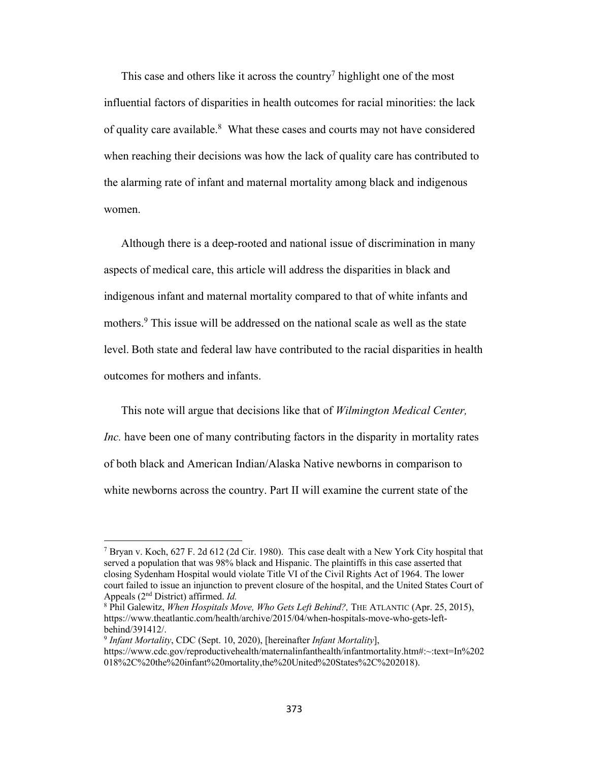This case and others like it across the country<sup>7</sup> highlight one of the most influential factors of disparities in health outcomes for racial minorities: the lack of quality care available.<sup>8</sup> What these cases and courts may not have considered when reaching their decisions was how the lack of quality care has contributed to the alarming rate of infant and maternal mortality among black and indigenous women.

Although there is a deep-rooted and national issue of discrimination in many aspects of medical care, this article will address the disparities in black and indigenous infant and maternal mortality compared to that of white infants and mothers.<sup>9</sup> This issue will be addressed on the national scale as well as the state level. Both state and federal law have contributed to the racial disparities in health outcomes for mothers and infants.

This note will argue that decisions like that of *Wilmington Medical Center, Inc.* have been one of many contributing factors in the disparity in mortality rates of both black and American Indian/Alaska Native newborns in comparison to white newborns across the country. Part II will examine the current state of the

<sup>&</sup>lt;sup>7</sup> Bryan v. Koch, 627 F. 2d 612 (2d Cir. 1980). This case dealt with a New York City hospital that served a population that was 98% black and Hispanic. The plaintiffs in this case asserted that closing Sydenham Hospital would violate Title VI of the Civil Rights Act of 1964. The lower court failed to issue an injunction to prevent closure of the hospital, and the United States Court of Appeals (2nd District) affirmed. *Id.* 

<sup>8</sup> Phil Galewitz, *When Hospitals Move, Who Gets Left Behind?,* THE ATLANTIC (Apr. 25, 2015), https://www.theatlantic.com/health/archive/2015/04/when-hospitals-move-who-gets-leftbehind/391412/.

<sup>9</sup> *Infant Mortality*, CDC (Sept. 10, 2020), [hereinafter *Infant Mortality*],

https://www.cdc.gov/reproductivehealth/maternalinfanthealth/infantmortality.htm#:~:text=In%202 018%2C%20the%20infant%20mortality,the%20United%20States%2C%202018).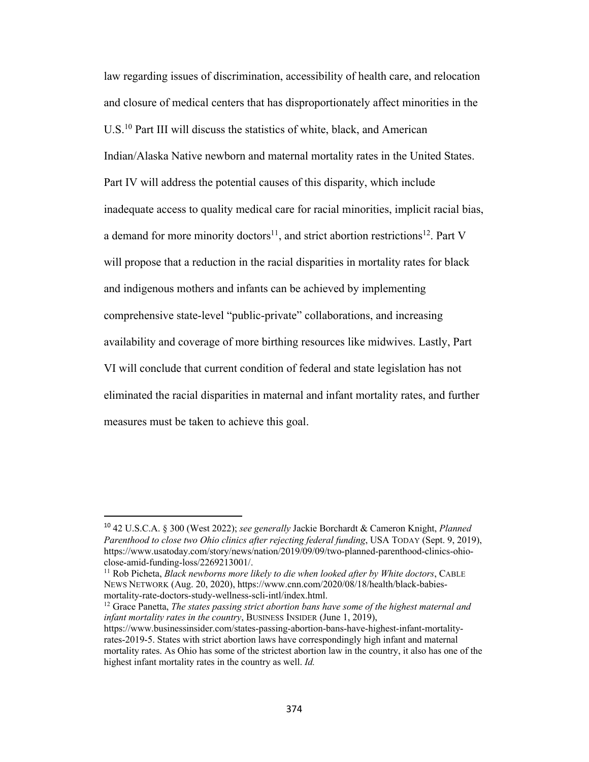law regarding issues of discrimination, accessibility of health care, and relocation and closure of medical centers that has disproportionately affect minorities in the U.S.10 Part III will discuss the statistics of white, black, and American Indian/Alaska Native newborn and maternal mortality rates in the United States. Part IV will address the potential causes of this disparity, which include inadequate access to quality medical care for racial minorities, implicit racial bias, a demand for more minority doctors<sup>11</sup>, and strict abortion restrictions<sup>12</sup>. Part V will propose that a reduction in the racial disparities in mortality rates for black and indigenous mothers and infants can be achieved by implementing comprehensive state-level "public-private" collaborations, and increasing availability and coverage of more birthing resources like midwives. Lastly, Part VI will conclude that current condition of federal and state legislation has not eliminated the racial disparities in maternal and infant mortality rates, and further measures must be taken to achieve this goal.

<sup>12</sup> Grace Panetta, *The states passing strict abortion bans have some of the highest maternal and infant mortality rates in the country*, BUSINESS INSIDER (June 1, 2019),

<sup>10</sup> 42 U.S.C.A. § 300 (West 2022); *see generally* Jackie Borchardt & Cameron Knight, *Planned Parenthood to close two Ohio clinics after rejecting federal funding*, USA TODAY (Sept. 9, 2019), https://www.usatoday.com/story/news/nation/2019/09/09/two-planned-parenthood-clinics-ohioclose-amid-funding-loss/2269213001/.

<sup>11</sup> Rob Picheta, *Black newborns more likely to die when looked after by White doctors*, CABLE NEWS NETWORK (Aug. 20, 2020), https://www.cnn.com/2020/08/18/health/black-babiesmortality-rate-doctors-study-wellness-scli-intl/index.html.

https://www.businessinsider.com/states-passing-abortion-bans-have-highest-infant-mortalityrates-2019-5. States with strict abortion laws have correspondingly high infant and maternal mortality rates. As Ohio has some of the strictest abortion law in the country, it also has one of the highest infant mortality rates in the country as well. *Id.*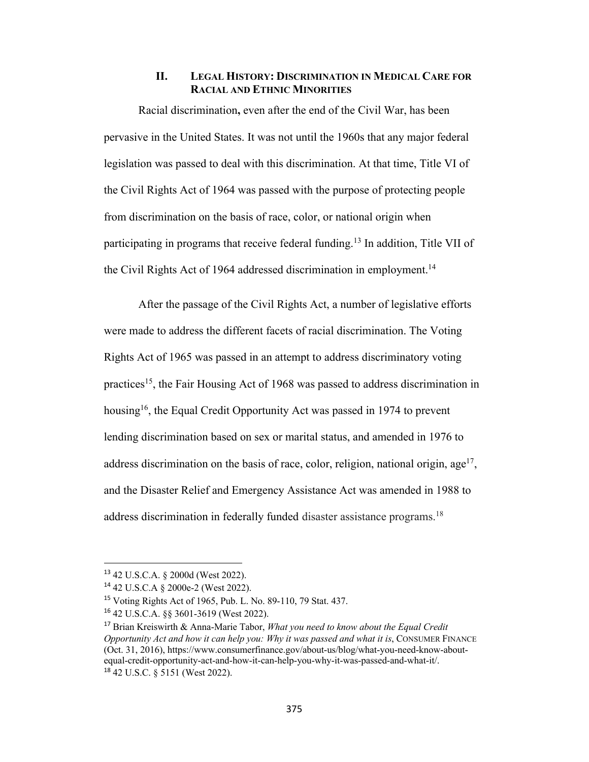#### **II. LEGAL HISTORY: DISCRIMINATION IN MEDICAL CARE FOR RACIAL AND ETHNIC MINORITIES**

Racial discrimination**,** even after the end of the Civil War, has been pervasive in the United States. It was not until the 1960s that any major federal legislation was passed to deal with this discrimination. At that time, Title VI of the Civil Rights Act of 1964 was passed with the purpose of protecting people from discrimination on the basis of race, color, or national origin when participating in programs that receive federal funding.13 In addition, Title VII of the Civil Rights Act of 1964 addressed discrimination in employment.<sup>14</sup>

After the passage of the Civil Rights Act, a number of legislative efforts were made to address the different facets of racial discrimination. The Voting Rights Act of 1965 was passed in an attempt to address discriminatory voting practices15, the Fair Housing Act of 1968 was passed to address discrimination in housing<sup>16</sup>, the Equal Credit Opportunity Act was passed in 1974 to prevent lending discrimination based on sex or marital status, and amended in 1976 to address discrimination on the basis of race, color, religion, national origin,  $age^{17}$ , and the Disaster Relief and Emergency Assistance Act was amended in 1988 to address discrimination in federally funded disaster assistance programs.<sup>18</sup>

<sup>13</sup> 42 U.S.C.A. § 2000d (West 2022).

<sup>14</sup> 42 U.S.C.A § 2000e-2 (West 2022).

<sup>15</sup> Voting Rights Act of 1965, Pub. L. No. 89-110, 79 Stat. 437.

<sup>16</sup> 42 U.S.C.A. §§ 3601-3619 (West 2022).

<sup>17</sup> Brian Kreiswirth & Anna-Marie Tabor, *What you need to know about the Equal Credit Opportunity Act and how it can help you: Why it was passed and what it is*, CONSUMER FINANCE (Oct. 31, 2016), https://www.consumerfinance.gov/about-us/blog/what-you-need-know-aboutequal-credit-opportunity-act-and-how-it-can-help-you-why-it-was-passed-and-what-it/. <sup>18</sup> 42 U.S.C. § 5151 (West 2022).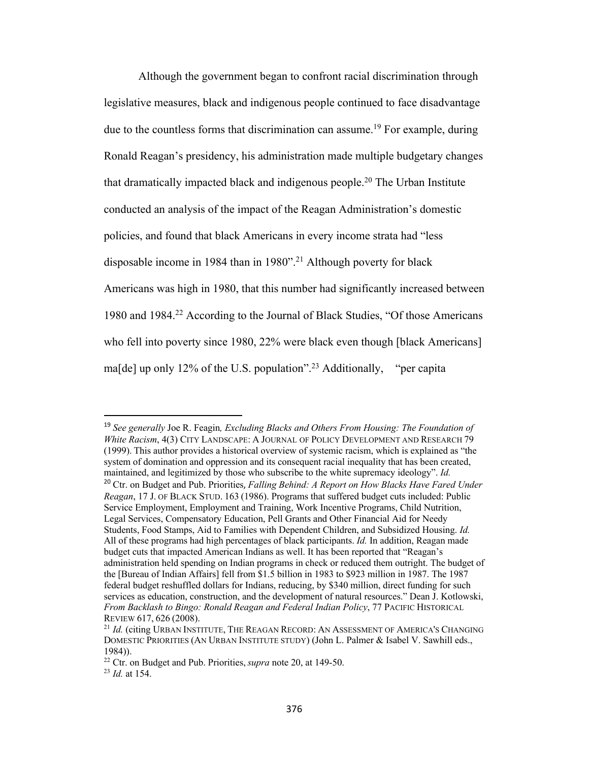Although the government began to confront racial discrimination through legislative measures, black and indigenous people continued to face disadvantage due to the countless forms that discrimination can assume.<sup>19</sup> For example, during Ronald Reagan's presidency, his administration made multiple budgetary changes that dramatically impacted black and indigenous people.20 The Urban Institute conducted an analysis of the impact of the Reagan Administration's domestic policies, and found that black Americans in every income strata had "less disposable income in 1984 than in 1980".<sup>21</sup> Although poverty for black Americans was high in 1980, that this number had significantly increased between 1980 and 1984.22 According to the Journal of Black Studies, "Of those Americans who fell into poverty since 1980, 22% were black even though [black Americans] ma[de] up only 12% of the U.S. population".<sup>23</sup> Additionally, "per capita"

<sup>19</sup> *See generally* Joe R. Feagin*, Excluding Blacks and Others From Housing: The Foundation of White Racism*, 4(3) CITY LANDSCAPE: A JOURNAL OF POLICY DEVELOPMENT AND RESEARCH 79 (1999). This author provides a historical overview of systemic racism, which is explained as "the system of domination and oppression and its consequent racial inequality that has been created, maintained, and legitimized by those who subscribe to the white supremacy ideology". *Id.*  <sup>20</sup> Ctr. on Budget and Pub. Priorities, *Falling Behind: A Report on How Blacks Have Fared Under Reagan*, 17 J. OF BLACK STUD. 163 (1986). Programs that suffered budget cuts included: Public Service Employment, Employment and Training, Work Incentive Programs, Child Nutrition, Legal Services, Compensatory Education, Pell Grants and Other Financial Aid for Needy Students, Food Stamps, Aid to Families with Dependent Children, and Subsidized Housing. *Id.*  All of these programs had high percentages of black participants. *Id.* In addition, Reagan made budget cuts that impacted American Indians as well. It has been reported that "Reagan's administration held spending on Indian programs in check or reduced them outright. The budget of the [Bureau of Indian Affairs] fell from \$1.5 billion in 1983 to \$923 million in 1987. The 1987 federal budget reshuffled dollars for Indians, reducing, by \$340 million, direct funding for such services as education, construction, and the development of natural resources." Dean J. Kotlowski, *From Backlash to Bingo: Ronald Reagan and Federal Indian Policy*, 77 PACIFIC HISTORICAL REVIEW 617, 626 (2008).

<sup>&</sup>lt;sup>21</sup> *Id.* (citing URBAN INSTITUTE, THE REAGAN RECORD: AN ASSESSMENT OF AMERICA'S CHANGING DOMESTIC PRIORITIES (AN URBAN INSTITUTE STUDY) (John L. Palmer & Isabel V. Sawhill eds., 1984)).

<sup>22</sup> Ctr. on Budget and Pub. Priorities, *supra* note 20, at 149-50.

<sup>23</sup> *Id.* at 154.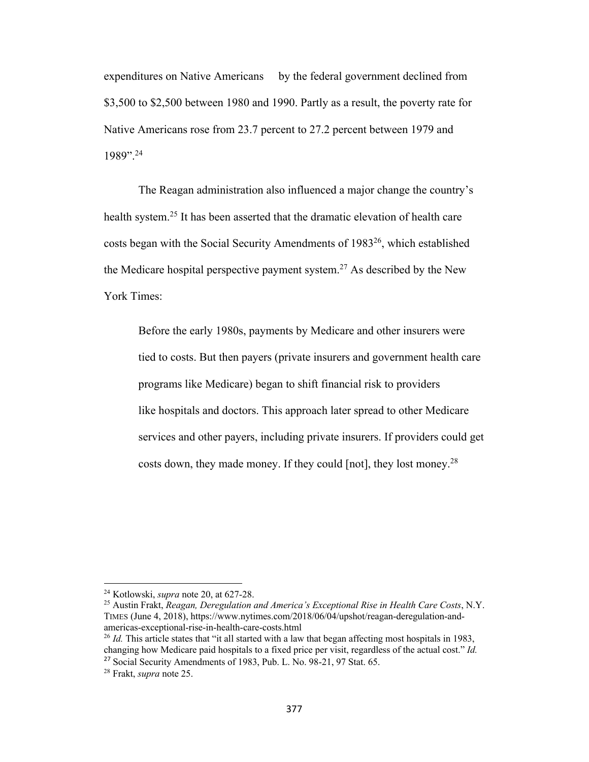expenditures on Native Americans by the federal government declined from \$3,500 to \$2,500 between 1980 and 1990. Partly as a result, the poverty rate for Native Americans rose from 23.7 percent to 27.2 percent between 1979 and 1989".24

The Reagan administration also influenced a major change the country's health system.25 It has been asserted that the dramatic elevation of health care costs began with the Social Security Amendments of 1983<sup>26</sup>, which established the Medicare hospital perspective payment system.<sup>27</sup> As described by the New York Times:

Before the early 1980s, payments by Medicare and other insurers were tied to costs. But then payers (private insurers and government health care programs like Medicare) began to shift financial risk to providers like hospitals and doctors. This approach later spread to other Medicare services and other payers, including private insurers. If providers could get costs down, they made money. If they could [not], they lost money.<sup>28</sup>

<sup>24</sup> Kotlowski, *supra* note 20, at 627-28.

<sup>25</sup> Austin Frakt, *Reagan, Deregulation and America's Exceptional Rise in Health Care Costs*, N.Y. TIMES (June 4, 2018), https://www.nytimes.com/2018/06/04/upshot/reagan-deregulation-andamericas-exceptional-rise-in-health-care-costs.html

<sup>&</sup>lt;sup>26</sup> *Id.* This article states that "it all started with a law that began affecting most hospitals in 1983, changing how Medicare paid hospitals to a fixed price per visit, regardless of the actual cost." *Id.* <sup>27</sup> Social Security Amendments of 1983, Pub. L. No. 98-21, 97 Stat. 65.

<sup>28</sup> Frakt, *supra* note 25.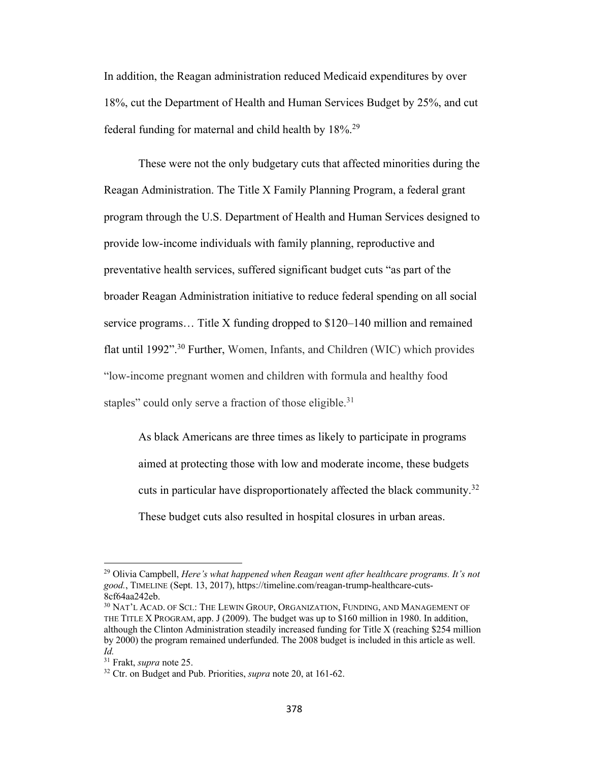In addition, the Reagan administration reduced Medicaid expenditures by over 18%, cut the Department of Health and Human Services Budget by 25%, and cut federal funding for maternal and child health by 18%.29

These were not the only budgetary cuts that affected minorities during the Reagan Administration. The Title X Family Planning Program, a federal grant program through the U.S. Department of Health and Human Services designed to provide low-income individuals with family planning, reproductive and preventative health services, suffered significant budget cuts "as part of the broader Reagan Administration initiative to reduce federal spending on all social service programs… Title X funding dropped to \$120–140 million and remained flat until 1992".30 Further, Women, Infants, and Children (WIC) which provides "low-income pregnant women and children with formula and healthy food staples" could only serve a fraction of those eligible.<sup>31</sup>

As black Americans are three times as likely to participate in programs aimed at protecting those with low and moderate income, these budgets cuts in particular have disproportionately affected the black community.<sup>32</sup> These budget cuts also resulted in hospital closures in urban areas.

<sup>29</sup> Olivia Campbell, *Here's what happened when Reagan went after healthcare programs. It's not good.*, TIMELINE (Sept. 13, 2017), https://timeline.com/reagan-trump-healthcare-cuts-8cf64aa242eb.

<sup>30</sup> NAT'L ACAD. OF SCI.: THE LEWIN GROUP, ORGANIZATION, FUNDING, AND MANAGEMENT OF THE TITLE X PROGRAM, app. J (2009). The budget was up to \$160 million in 1980. In addition, although the Clinton Administration steadily increased funding for Title X (reaching \$254 million by 2000) the program remained underfunded. The 2008 budget is included in this article as well. *Id.*

<sup>31</sup> Frakt, *supra* note 25.

<sup>32</sup> Ctr. on Budget and Pub. Priorities, *supra* note 20, at 161-62.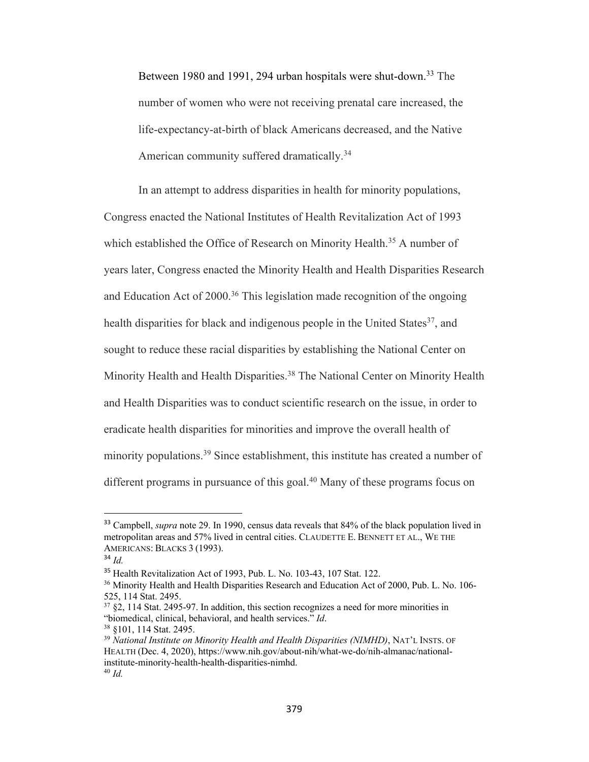Between 1980 and 1991, 294 urban hospitals were shut-down.<sup>33</sup> The number of women who were not receiving prenatal care increased, the life-expectancy-at-birth of black Americans decreased, and the Native American community suffered dramatically.<sup>34</sup>

In an attempt to address disparities in health for minority populations, Congress enacted the National Institutes of Health Revitalization Act of 1993 which established the Office of Research on Minority Health.<sup>35</sup> A number of years later, Congress enacted the Minority Health and Health Disparities Research and Education Act of  $2000<sup>36</sup>$  This legislation made recognition of the ongoing health disparities for black and indigenous people in the United States<sup>37</sup>, and sought to reduce these racial disparities by establishing the National Center on Minority Health and Health Disparities.<sup>38</sup> The National Center on Minority Health and Health Disparities was to conduct scientific research on the issue, in order to eradicate health disparities for minorities and improve the overall health of minority populations.<sup>39</sup> Since establishment, this institute has created a number of different programs in pursuance of this goal.<sup>40</sup> Many of these programs focus on

<sup>33</sup> Campbell, *supra* note 29. In 1990, census data reveals that 84% of the black population lived in metropolitan areas and 57% lived in central cities. CLAUDETTE E. BENNETT ET AL., WE THE AMERICANS: BLACKS 3 (1993).

<sup>34</sup> *Id.*

<sup>35</sup> Health Revitalization Act of 1993, Pub. L. No. 103-43, 107 Stat. 122.

<sup>&</sup>lt;sup>36</sup> Minority Health and Health Disparities Research and Education Act of 2000, Pub. L. No. 106-525, 114 Stat. 2495.

<sup>37</sup> §2, 114 Stat. 2495-97. In addition, this section recognizes a need for more minorities in "biomedical, clinical, behavioral, and health services." *Id*.

<sup>&</sup>lt;sup>38</sup> §101, 114 Stat. 2495.<br><sup>39</sup> *National Institute on Minority Health and Health Disparities (NIMHD)*, NAT'L INSTS. OF HEALTH (Dec. 4, 2020), https://www.nih.gov/about-nih/what-we-do/nih-almanac/nationalinstitute-minority-health-health-disparities-nimhd. <sup>40</sup> *Id.*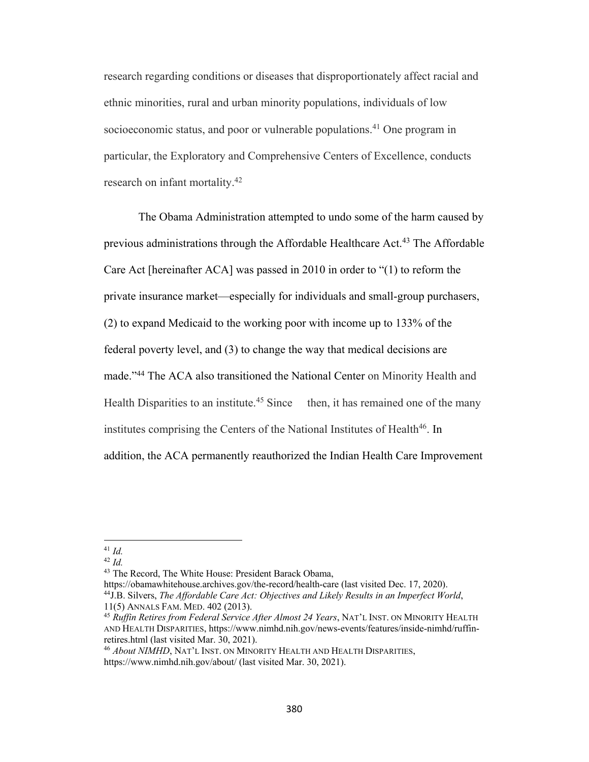research regarding conditions or diseases that disproportionately affect racial and ethnic minorities, rural and urban minority populations, individuals of low socioeconomic status, and poor or vulnerable populations.<sup>41</sup> One program in particular, the Exploratory and Comprehensive Centers of Excellence, conducts research on infant mortality.42

The Obama Administration attempted to undo some of the harm caused by previous administrations through the Affordable Healthcare Act.<sup>43</sup> The Affordable Care Act [hereinafter ACA] was passed in 2010 in order to "(1) to reform the private insurance market—especially for individuals and small-group purchasers, (2) to expand Medicaid to the working poor with income up to 133% of the federal poverty level, and (3) to change the way that medical decisions are made."44 The ACA also transitioned the National Center on Minority Health and Health Disparities to an institute.<sup>45</sup> Since then, it has remained one of the many institutes comprising the Centers of the National Institutes of Health<sup>46</sup>. In addition, the ACA permanently reauthorized the Indian Health Care Improvement

https://obamawhitehouse.archives.gov/the-record/health-care (last visited Dec. 17, 2020).

 $41$  *Id.* 

<sup>42</sup> *Id.*

<sup>43</sup> The Record, The White House: President Barack Obama,

<sup>44</sup>J.B. Silvers, *The Affordable Care Act: Objectives and Likely Results in an Imperfect World*, 11(5) ANNALS FAM. MED. 402 (2013). 45 *Ruffin Retires from Federal Service After Almost 24 Years*, NAT'L INST. ON MINORITY HEALTH

AND HEALTH DISPARITIES, https://www.nimhd.nih.gov/news-events/features/inside-nimhd/ruffinretires.html (last visited Mar. 30, 2021).

<sup>46</sup> *About NIMHD*, NAT'L INST. ON MINORITY HEALTH AND HEALTH DISPARITIES, https://www.nimhd.nih.gov/about/ (last visited Mar. 30, 2021).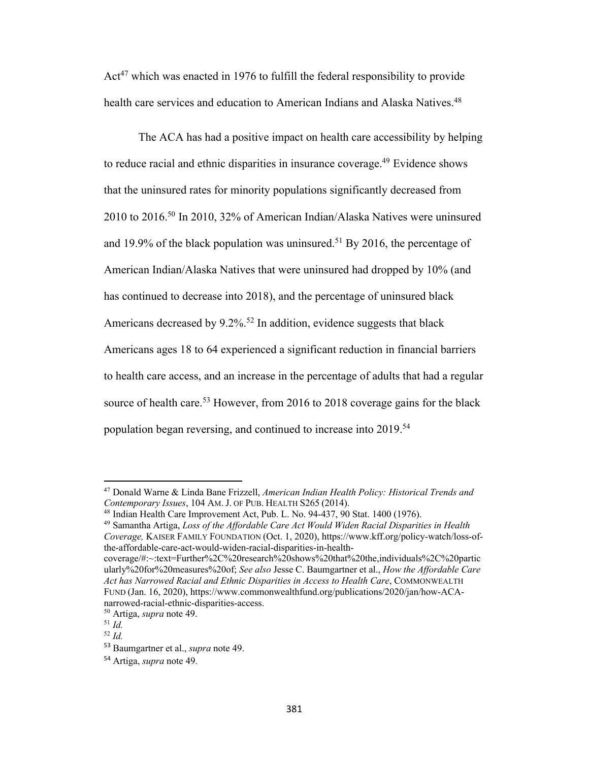$Act^{47}$  which was enacted in 1976 to fulfill the federal responsibility to provide health care services and education to American Indians and Alaska Natives.<sup>48</sup>

The ACA has had a positive impact on health care accessibility by helping to reduce racial and ethnic disparities in insurance coverage.<sup>49</sup> Evidence shows that the uninsured rates for minority populations significantly decreased from 2010 to 2016.50 In 2010, 32% of American Indian/Alaska Natives were uninsured and 19.9% of the black population was uninsured.<sup>51</sup> By 2016, the percentage of American Indian/Alaska Natives that were uninsured had dropped by 10% (and has continued to decrease into 2018), and the percentage of uninsured black Americans decreased by 9.2%.<sup>52</sup> In addition, evidence suggests that black Americans ages 18 to 64 experienced a significant reduction in financial barriers to health care access, and an increase in the percentage of adults that had a regular source of health care.<sup>53</sup> However, from 2016 to 2018 coverage gains for the black population began reversing, and continued to increase into 2019.<sup>54</sup>

<sup>47</sup> Donald Warne & Linda Bane Frizzell, *American Indian Health Policy: Historical Trends and* 

<sup>&</sup>lt;sup>48</sup> Indian Health Care Improvement Act, Pub. L. No. 94-437, 90 Stat. 1400 (1976).<br><sup>49</sup> Samantha Artiga, *Loss of the Affordable Care Act Would Widen Racial Disparities in Health* 

*Coverage,* KAISER FAMILY FOUNDATION (Oct. 1, 2020), https://www.kff.org/policy-watch/loss-ofthe-affordable-care-act-would-widen-racial-disparities-in-health-

coverage/#:~:text=Further%2C%20research%20shows%20that%20the,individuals%2C%20partic ularly%20for%20measures%20of; *See also* Jesse C. Baumgartner et al., *How the Affordable Care Act has Narrowed Racial and Ethnic Disparities in Access to Health Care*, COMMONWEALTH FUND (Jan. 16, 2020), https://www.commonwealthfund.org/publications/2020/jan/how-ACAnarrowed-racial-ethnic-disparities-access.

<sup>50</sup> Artiga, *supra* note 49.

<sup>51</sup> *Id.* <sup>52</sup> *Id.*

<sup>53</sup> Baumgartner et al., *supra* note 49.

<sup>54</sup> Artiga, *supra* note 49.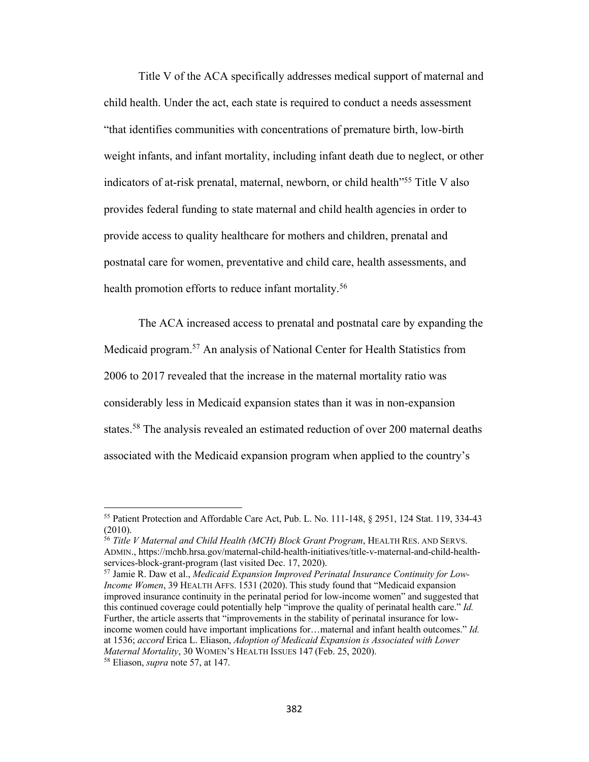Title V of the ACA specifically addresses medical support of maternal and child health. Under the act, each state is required to conduct a needs assessment "that identifies communities with concentrations of premature birth, low-birth weight infants, and infant mortality, including infant death due to neglect, or other indicators of at-risk prenatal, maternal, newborn, or child health"55 Title V also provides federal funding to state maternal and child health agencies in order to provide access to quality healthcare for mothers and children, prenatal and postnatal care for women, preventative and child care, health assessments, and health promotion efforts to reduce infant mortality.<sup>56</sup>

The ACA increased access to prenatal and postnatal care by expanding the Medicaid program.57 An analysis of National Center for Health Statistics from 2006 to 2017 revealed that the increase in the maternal mortality ratio was considerably less in Medicaid expansion states than it was in non-expansion states.58 The analysis revealed an estimated reduction of over 200 maternal deaths associated with the Medicaid expansion program when applied to the country's

<sup>55</sup> Patient Protection and Affordable Care Act, Pub. L. No. 111-148, § 2951, 124 Stat. 119, 334-43 (2010).

<sup>56</sup> *Title V Maternal and Child Health (MCH) Block Grant Program*, HEALTH RES. AND SERVS. ADMIN., https://mchb.hrsa.gov/maternal-child-health-initiatives/title-v-maternal-and-child-healthservices-block-grant-program (last visited Dec. 17, 2020).

<sup>57</sup> Jamie R. Daw et al., *Medicaid Expansion Improved Perinatal Insurance Continuity for Low-Income Women*, 39 HEALTH AFFS. 1531 (2020). This study found that "Medicaid expansion improved insurance continuity in the perinatal period for low-income women" and suggested that this continued coverage could potentially help "improve the quality of perinatal health care." *Id.*  Further, the article asserts that "improvements in the stability of perinatal insurance for lowincome women could have important implications for…maternal and infant health outcomes." *Id.*  at 1536; *accord* Erica L. Eliason, *Adoption of Medicaid Expansion is Associated with Lower Maternal Mortality*, 30 WOMEN'S HEALTH ISSUES 147 (Feb. 25, 2020).

<sup>58</sup> Eliason, *supra* note 57, at 147.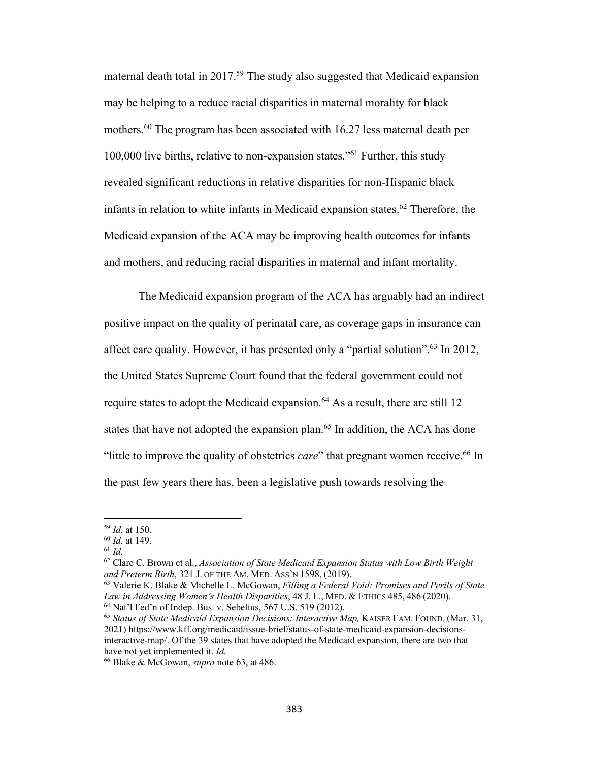maternal death total in 2017.59 The study also suggested that Medicaid expansion may be helping to a reduce racial disparities in maternal morality for black mothers.<sup>60</sup> The program has been associated with 16.27 less maternal death per 100,000 live births, relative to non-expansion states."61 Further, this study revealed significant reductions in relative disparities for non-Hispanic black infants in relation to white infants in Medicaid expansion states.<sup>62</sup> Therefore, the Medicaid expansion of the ACA may be improving health outcomes for infants and mothers, and reducing racial disparities in maternal and infant mortality.

The Medicaid expansion program of the ACA has arguably had an indirect positive impact on the quality of perinatal care, as coverage gaps in insurance can affect care quality. However, it has presented only a "partial solution".<sup>63</sup> In 2012, the United States Supreme Court found that the federal government could not require states to adopt the Medicaid expansion.<sup>64</sup> As a result, there are still 12 states that have not adopted the expansion plan.<sup>65</sup> In addition, the ACA has done "little to improve the quality of obstetrics *care*" that pregnant women receive.66 In the past few years there has, been a legislative push towards resolving the

<sup>59</sup> *Id.* at 150.

<sup>60</sup> *Id.* at 149.

<sup>61</sup> *Id.* 

<sup>62</sup> Clare C. Brown et al., *Association of State Medicaid Expansion Status with Low Birth Weight and Preterm Birth*, 321 J. OF THE AM. MED. ASS'N 1598, (2019).

<sup>63</sup> Valerie K. Blake & Michelle L. McGowan, *Filling a Federal Void: Promises and Perils of State Law in Addressing Women's Health Disparities*, 48 J. L., MED. & ETHICS 485, 486 (2020). <sup>64</sup> Nat'l Fed'n of Indep. Bus. v. Sebelius, 567 U.S. 519 (2012).

<sup>65</sup> *Status of State Medicaid Expansion Decisions: Interactive Map,* KAISER FAM. FOUND. (Mar. 31, 2021) https://www.kff.org/medicaid/issue-brief/status-of-state-medicaid-expansion-decisionsinteractive-map/. Of the 39 states that have adopted the Medicaid expansion, there are two that have not yet implemented it. *Id.*

<sup>66</sup> Blake & McGowan, *supra* note 63, at 486.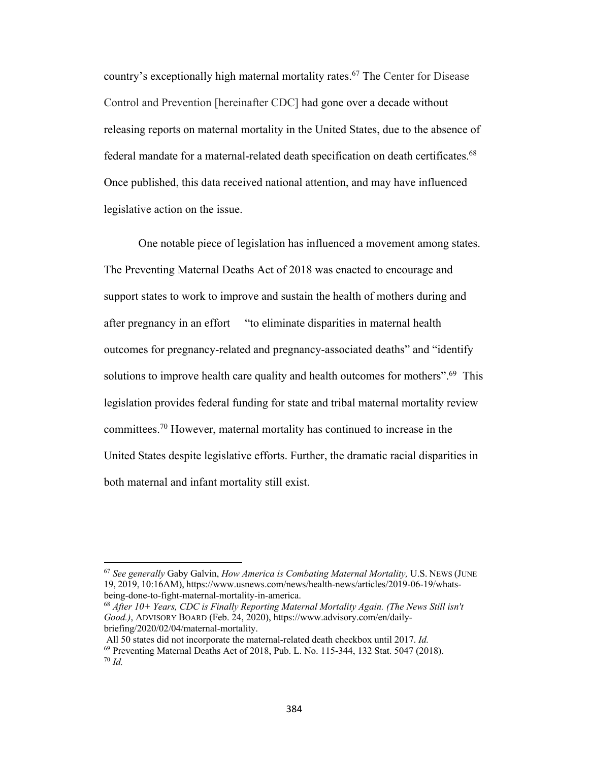country's exceptionally high maternal mortality rates.<sup>67</sup> The Center for Disease Control and Prevention [hereinafter CDC] had gone over a decade without releasing reports on maternal mortality in the United States, due to the absence of federal mandate for a maternal-related death specification on death certificates.<sup>68</sup> Once published, this data received national attention, and may have influenced legislative action on the issue.

One notable piece of legislation has influenced a movement among states. The Preventing Maternal Deaths Act of 2018 was enacted to encourage and support states to work to improve and sustain the health of mothers during and after pregnancy in an effort "to eliminate disparities in maternal health outcomes for pregnancy-related and pregnancy-associated deaths" and "identify solutions to improve health care quality and health outcomes for mothers".<sup>69</sup> This legislation provides federal funding for state and tribal maternal mortality review committees.70 However, maternal mortality has continued to increase in the United States despite legislative efforts. Further, the dramatic racial disparities in both maternal and infant mortality still exist.

<sup>67</sup> *See generally* Gaby Galvin, *How America is Combating Maternal Mortality,* U.S. NEWS (JUNE 19, 2019, 10:16AM), https://www.usnews.com/news/health-news/articles/2019-06-19/whatsbeing-done-to-fight-maternal-mortality-in-america.

<sup>68</sup> *After 10+ Years, CDC is Finally Reporting Maternal Mortality Again. (The News Still isn't Good.)*, ADVISORY BOARD (Feb. 24, 2020), https://www.advisory.com/en/dailybriefing/2020/02/04/maternal-mortality.

All 50 states did not incorporate the maternal-related death checkbox until 2017. *Id.* <sup>69</sup> Preventing Maternal Deaths Act of 2018, Pub. L. No. 115-344, 132 Stat. 5047 (2018).<br><sup>70</sup> *Id.*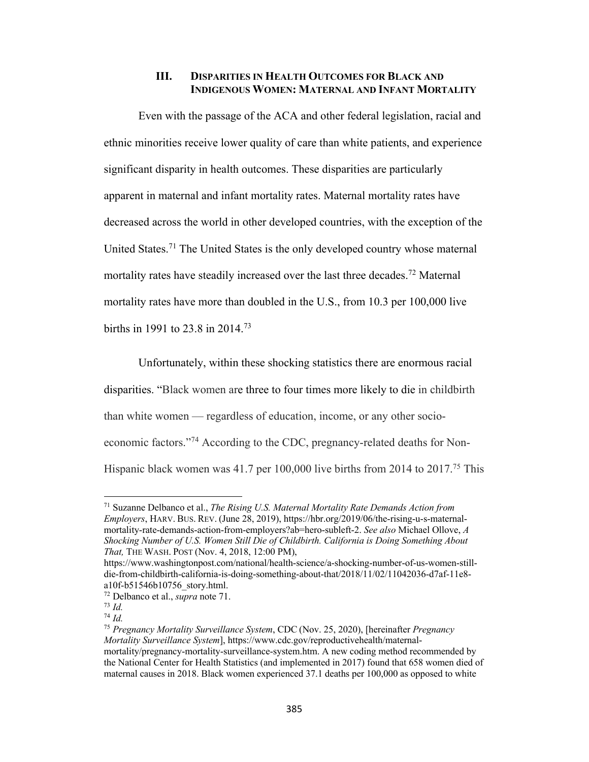#### **III. DISPARITIES IN HEALTH OUTCOMES FOR BLACK AND INDIGENOUS WOMEN: MATERNAL AND INFANT MORTALITY**

Even with the passage of the ACA and other federal legislation, racial and ethnic minorities receive lower quality of care than white patients, and experience significant disparity in health outcomes. These disparities are particularly apparent in maternal and infant mortality rates. Maternal mortality rates have decreased across the world in other developed countries, with the exception of the United States.<sup>71</sup> The United States is the only developed country whose maternal mortality rates have steadily increased over the last three decades.<sup>72</sup> Maternal mortality rates have more than doubled in the U.S., from 10.3 per 100,000 live births in 1991 to 23.8 in 2014.73

Unfortunately, within these shocking statistics there are enormous racial disparities. "Black women are three to four times more likely to die in childbirth than white women — regardless of education, income, or any other socioeconomic factors."74 According to the CDC, pregnancy-related deaths for Non-Hispanic black women was 41.7 per 100,000 live births from 2014 to 2017.<sup>75</sup> This

<sup>71</sup> Suzanne Delbanco et al., *The Rising U.S. Maternal Mortality Rate Demands Action from Employers*, HARV. BUS. REV. (June 28, 2019), https://hbr.org/2019/06/the-rising-u-s-maternalmortality-rate-demands-action-from-employers?ab=hero-subleft-2. *See also* Michael Ollove, *A Shocking Number of U.S. Women Still Die of Childbirth. California is Doing Something About That,* THE WASH. POST (Nov. 4, 2018, 12:00 PM),

https://www.washingtonpost.com/national/health-science/a-shocking-number-of-us-women-stilldie-from-childbirth-california-is-doing-something-about-that/2018/11/02/11042036-d7af-11e8 a10f-b51546b10756\_story.html.

<sup>72</sup> Delbanco et al., *supra* note 71. 73 *Id.*

<sup>74</sup> *Id.*

<sup>75</sup> *Pregnancy Mortality Surveillance System*, CDC (Nov. 25, 2020), [hereinafter *Pregnancy Mortality Surveillance System*], https://www.cdc.gov/reproductivehealth/maternalmortality/pregnancy-mortality-surveillance-system.htm. A new coding method recommended by the National Center for Health Statistics (and implemented in 2017) found that 658 women died of maternal causes in 2018. Black women experienced 37.1 deaths per 100,000 as opposed to white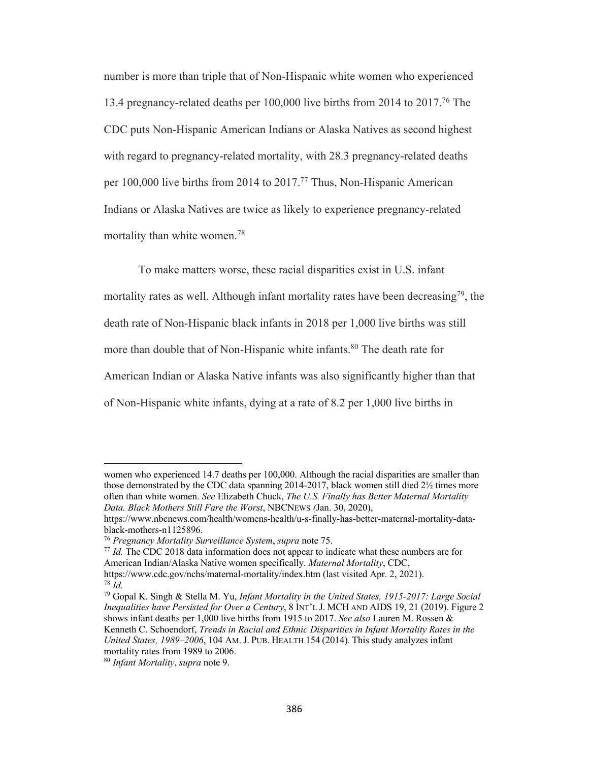number is more than triple that of Non-Hispanic white women who experienced 13.4 pregnancy-related deaths per 100,000 live births from 2014 to 2017.76 The CDC puts Non-Hispanic American Indians or Alaska Natives as second highest with regard to pregnancy-related mortality, with 28.3 pregnancy-related deaths per 100,000 live births from 2014 to 2017.<sup>77</sup> Thus, Non-Hispanic American Indians or Alaska Natives are twice as likely to experience pregnancy-related mortality than white women.78

To make matters worse, these racial disparities exist in U.S. infant mortality rates as well. Although infant mortality rates have been decreasing<sup>79</sup>, the death rate of Non-Hispanic black infants in 2018 per 1,000 live births was still more than double that of Non-Hispanic white infants.<sup>80</sup> The death rate for American Indian or Alaska Native infants was also significantly higher than that of Non-Hispanic white infants, dying at a rate of 8.2 per 1,000 live births in

<sup>76</sup> *Pregnancy Mortality Surveillance System, supra* note 75.<br><sup>77</sup> *Id.* The CDC 2018 data information does not appear to indicate what these numbers are for American Indian/Alaska Native women specifically. *Maternal Mortality*, CDC, https://www.cdc.gov/nchs/maternal-mortality/index.htm (last visited Apr. 2, 2021). <sup>78</sup> *Id.*

women who experienced 14.7 deaths per 100,000. Although the racial disparities are smaller than those demonstrated by the CDC data spanning 2014-2017, black women still died 2½ times more often than white women. *See* Elizabeth Chuck, *The U.S. Finally has Better Maternal Mortality Data. Black Mothers Still Fare the Worst*, NBCNEWS *(*Jan. 30, 2020),

https://www.nbcnews.com/health/womens-health/u-s-finally-has-better-maternal-mortality-datablack-mothers-n1125896.

<sup>79</sup> Gopal K. Singh & Stella M. Yu, *Infant Mortality in the United States, 1915-2017: Large Social Inequalities have Persisted for Over a Century*, 8 INT'L J. MCH AND AIDS 19, 21 (2019). Figure 2 shows infant deaths per 1,000 live births from 1915 to 2017. *See also* Lauren M. Rossen & Kenneth C. Schoendorf, *Trends in Racial and Ethnic Disparities in Infant Mortality Rates in the United States, 1989–2006*, 104 AM. J. PUB. HEALTH 154 (2014). This study analyzes infant mortality rates from 1989 to 2006.

<sup>80</sup> *Infant Mortality*, *supra* note 9.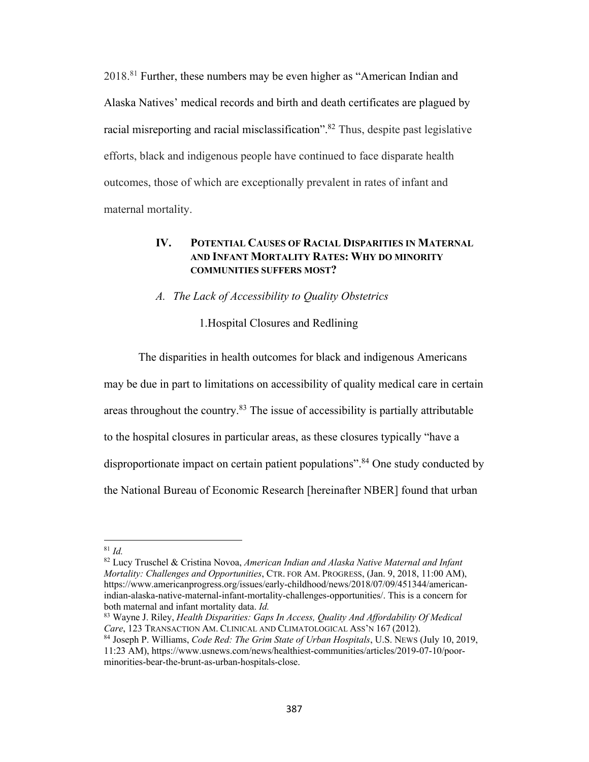2018.81 Further, these numbers may be even higher as "American Indian and Alaska Natives' medical records and birth and death certificates are plagued by racial misreporting and racial misclassification".<sup>82</sup> Thus, despite past legislative efforts, black and indigenous people have continued to face disparate health outcomes, those of which are exceptionally prevalent in rates of infant and maternal mortality.

#### **IV. POTENTIAL CAUSES OF RACIAL DISPARITIES IN MATERNAL AND INFANT MORTALITY RATES: WHY DO MINORITY COMMUNITIES SUFFERS MOST?**

#### *A. The Lack of Accessibility to Quality Obstetrics*

#### 1.Hospital Closures and Redlining

The disparities in health outcomes for black and indigenous Americans may be due in part to limitations on accessibility of quality medical care in certain areas throughout the country.<sup>83</sup> The issue of accessibility is partially attributable to the hospital closures in particular areas, as these closures typically "have a disproportionate impact on certain patient populations".<sup>84</sup> One study conducted by the National Bureau of Economic Research [hereinafter NBER] found that urban

<sup>82</sup> Lucy Truschel & Cristina Novoa, *American Indian and Alaska Native Maternal and Infant Mortality: Challenges and Opportunities*, CTR. FOR AM. PROGRESS, (Jan. 9, 2018, 11:00 AM), https://www.americanprogress.org/issues/early-childhood/news/2018/07/09/451344/americanindian-alaska-native-maternal-infant-mortality-challenges-opportunities/. This is a concern for both maternal and infant mortality data. *Id.* 

<sup>81</sup> *Id.*

<sup>83</sup> Wayne J. Riley, *Health Disparities: Gaps In Access, Quality And Affordability Of Medical Care*, 123 TRANSACTION AM. CLINICAL AND CLIMATOLOGICAL ASS'N 167 (2012).

<sup>84</sup> Joseph P. Williams, *Code Red: The Grim State of Urban Hospitals*, U.S. NEWS (July 10, 2019, 11:23 AM), https://www.usnews.com/news/healthiest-communities/articles/2019-07-10/poorminorities-bear-the-brunt-as-urban-hospitals-close.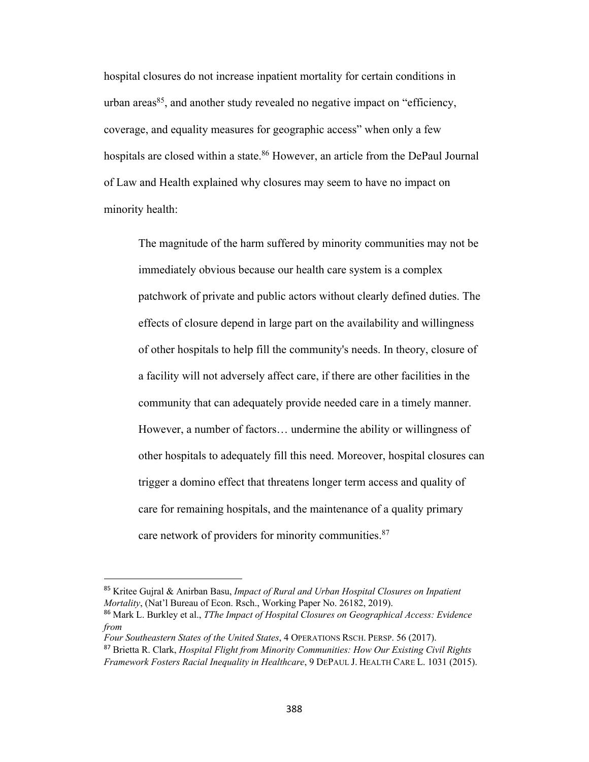hospital closures do not increase inpatient mortality for certain conditions in urban areas<sup>85</sup>, and another study revealed no negative impact on "efficiency, coverage, and equality measures for geographic access" when only a few hospitals are closed within a state.<sup>86</sup> However, an article from the DePaul Journal of Law and Health explained why closures may seem to have no impact on minority health:

The magnitude of the harm suffered by minority communities may not be immediately obvious because our health care system is a complex patchwork of private and public actors without clearly defined duties. The effects of closure depend in large part on the availability and willingness of other hospitals to help fill the community's needs. In theory, closure of a facility will not adversely affect care, if there are other facilities in the community that can adequately provide needed care in a timely manner. However, a number of factors… undermine the ability or willingness of other hospitals to adequately fill this need. Moreover, hospital closures can trigger a domino effect that threatens longer term access and quality of care for remaining hospitals, and the maintenance of a quality primary care network of providers for minority communities.<sup>87</sup>

<sup>85</sup> Kritee Gujral & Anirban Basu, *Impact of Rural and Urban Hospital Closures on Inpatient Mortality*, (Nat'l Bureau of Econ. Rsch., Working Paper No. 26182, 2019).

<sup>86</sup> Mark L. Burkley et al., *TThe Impact of Hospital Closures on Geographical Access: Evidence from*

*Four Southeastern States of the United States*, 4 OPERATIONS RSCH. PERSP. 56 (2017).

<sup>87</sup> Brietta R. Clark, *Hospital Flight from Minority Communities: How Our Existing Civil Rights*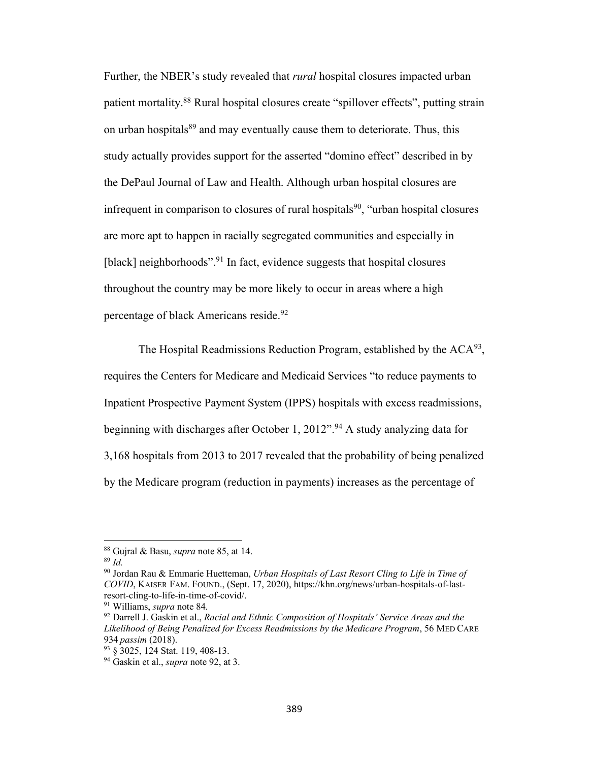Further, the NBER's study revealed that *rural* hospital closures impacted urban patient mortality.88 Rural hospital closures create "spillover effects", putting strain on urban hospitals<sup>89</sup> and may eventually cause them to deteriorate. Thus, this study actually provides support for the asserted "domino effect" described in by the DePaul Journal of Law and Health. Although urban hospital closures are infrequent in comparison to closures of rural hospitals<sup>90</sup>, "urban hospital closures are more apt to happen in racially segregated communities and especially in [black] neighborhoods".<sup>91</sup> In fact, evidence suggests that hospital closures throughout the country may be more likely to occur in areas where a high percentage of black Americans reside.<sup>92</sup>

The Hospital Readmissions Reduction Program, established by the  $ACA^{93}$ , requires the Centers for Medicare and Medicaid Services "to reduce payments to Inpatient Prospective Payment System (IPPS) hospitals with excess readmissions, beginning with discharges after October 1, 2012".<sup>94</sup> A study analyzing data for 3,168 hospitals from 2013 to 2017 revealed that the probability of being penalized by the Medicare program (reduction in payments) increases as the percentage of

<sup>88</sup> Gujral & Basu, *supra* note 85, at 14.

<sup>89</sup> *Id.* 

<sup>90</sup> Jordan Rau & Emmarie Huetteman, *Urban Hospitals of Last Resort Cling to Life in Time of COVID*, KAISER FAM. FOUND., (Sept. 17, 2020), https://khn.org/news/urban-hospitals-of-lastresort-cling-to-life-in-time-of-covid/.

<sup>91</sup> Williams, *supra* note 84*.*

<sup>92</sup> Darrell J. Gaskin et al., *Racial and Ethnic Composition of Hospitals' Service Areas and the Likelihood of Being Penalized for Excess Readmissions by the Medicare Program*, 56 MED CARE <sup>934</sup> *passim* (2018). 93 § 3025, 124 Stat. 119, 408-13.

<sup>94</sup> Gaskin et al., *supra* note 92, at 3.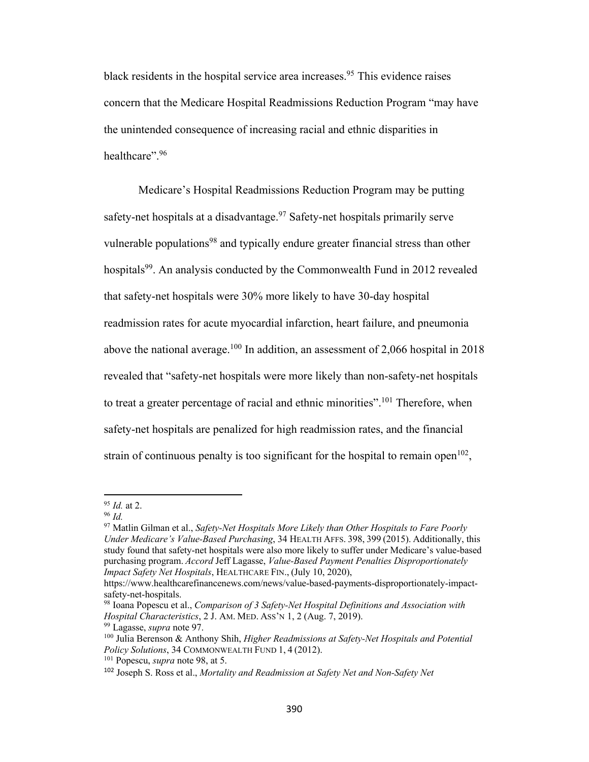black residents in the hospital service area increases.<sup>95</sup> This evidence raises concern that the Medicare Hospital Readmissions Reduction Program "may have the unintended consequence of increasing racial and ethnic disparities in healthcare". 96

Medicare's Hospital Readmissions Reduction Program may be putting safety-net hospitals at a disadvantage.<sup>97</sup> Safety-net hospitals primarily serve vulnerable populations<sup>98</sup> and typically endure greater financial stress than other hospitals<sup>99</sup>. An analysis conducted by the Commonwealth Fund in 2012 revealed that safety-net hospitals were 30% more likely to have 30-day hospital readmission rates for acute myocardial infarction, heart failure, and pneumonia above the national average.<sup>100</sup> In addition, an assessment of 2,066 hospital in 2018 revealed that "safety-net hospitals were more likely than non-safety-net hospitals to treat a greater percentage of racial and ethnic minorities".<sup>101</sup> Therefore, when safety-net hospitals are penalized for high readmission rates, and the financial strain of continuous penalty is too significant for the hospital to remain open<sup>102</sup>,

<sup>95</sup> *Id.* at 2.

<sup>96</sup> *Id.*

<sup>97</sup> Matlin Gilman et al., *Safety-Net Hospitals More Likely than Other Hospitals to Fare Poorly Under Medicare's Value-Based Purchasing*, 34 HEALTH AFFS. 398, 399 (2015). Additionally, this study found that safety-net hospitals were also more likely to suffer under Medicare's value-based purchasing program. *Accord* Jeff Lagasse, *Value-Based Payment Penalties Disproportionately Impact Safety Net Hospitals*, HEALTHCARE FIN., (July 10, 2020),

https://www.healthcarefinancenews.com/news/value-based-payments-disproportionately-impactsafety-net-hospitals.

<sup>98</sup> Ioana Popescu et al., *Comparison of 3 Safety-Net Hospital Definitions and Association with Hospital Characteristics*, 2 J. AM. MED. ASS'N 1, 2 (Aug. 7, 2019).

<sup>99</sup> Lagasse, *supra* note 97.

<sup>100</sup> Julia Berenson & Anthony Shih, *Higher Readmissions at Safety-Net Hospitals and Potential Policy Solutions*, 34 COMMONWEALTH FUND 1, 4 (2012).

<sup>101</sup> Popescu, *supra* note 98, at 5.

<sup>102</sup> Joseph S. Ross et al., *Mortality and Readmission at Safety Net and Non-Safety Net*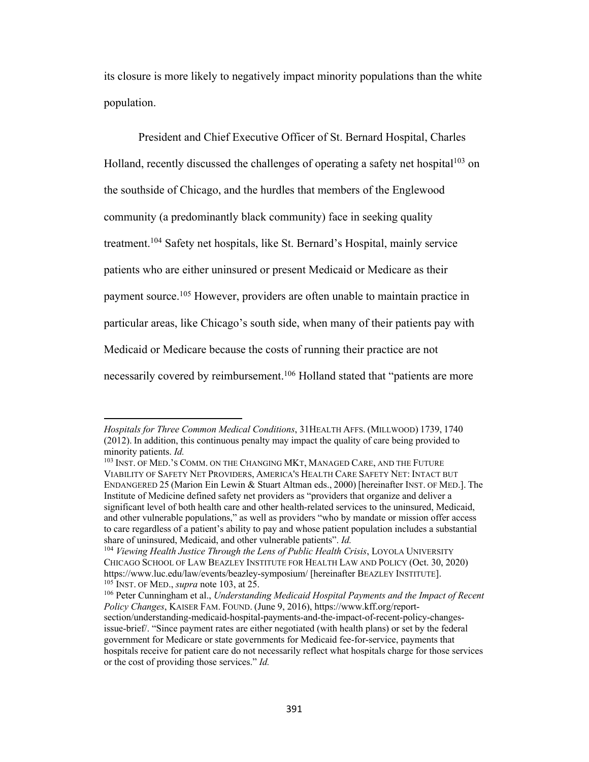its closure is more likely to negatively impact minority populations than the white population.

President and Chief Executive Officer of St. Bernard Hospital, Charles Holland, recently discussed the challenges of operating a safety net hospital<sup>103</sup> on the southside of Chicago, and the hurdles that members of the Englewood community (a predominantly black community) face in seeking quality treatment.104 Safety net hospitals, like St. Bernard's Hospital, mainly service patients who are either uninsured or present Medicaid or Medicare as their payment source.<sup>105</sup> However, providers are often unable to maintain practice in particular areas, like Chicago's south side, when many of their patients pay with Medicaid or Medicare because the costs of running their practice are not necessarily covered by reimbursement.106 Holland stated that "patients are more

*Hospitals for Three Common Medical Conditions*, 31HEALTH AFFS. (MILLWOOD) 1739, 1740 (2012). In addition, this continuous penalty may impact the quality of care being provided to minority patients. *Id.* 

<sup>103</sup> INST. OF MED.'S COMM. ON THE CHANGING MKT, MANAGED CARE, AND THE FUTURE VIABILITY OF SAFETY NET PROVIDERS, AMERICA'S HEALTH CARE SAFETY NET: INTACT BUT ENDANGERED 25 (Marion Ein Lewin & Stuart Altman eds., 2000) [hereinafter INST. OF MED.]. The Institute of Medicine defined safety net providers as "providers that organize and deliver a significant level of both health care and other health-related services to the uninsured, Medicaid, and other vulnerable populations," as well as providers "who by mandate or mission offer access to care regardless of a patient's ability to pay and whose patient population includes a substantial share of uninsured, Medicaid, and other vulnerable patients". *Id.*

<sup>&</sup>lt;sup>104</sup> Viewing Health Justice Through the Lens of Public Health Crisis, LOYOLA UNIVERSITY CHICAGO SCHOOL OF LAW BEAZLEY INSTITUTE FOR HEALTH LAW AND POLICY (Oct. 30, 2020) https://www.luc.edu/law/events/beazley-symposium/ [hereinafter BEAZLEY INSTITUTE]. <sup>105</sup> INST. OF MED., *supra* note 103, at 25.

<sup>106</sup> Peter Cunningham et al., *Understanding Medicaid Hospital Payments and the Impact of Recent Policy Changes*, KAISER FAM. FOUND. (June 9, 2016), https://www.kff.org/reportsection/understanding-medicaid-hospital-payments-and-the-impact-of-recent-policy-changesissue-brief/. "Since payment rates are either negotiated (with health plans) or set by the federal government for Medicare or state governments for Medicaid fee-for-service, payments that hospitals receive for patient care do not necessarily reflect what hospitals charge for those services or the cost of providing those services." *Id.*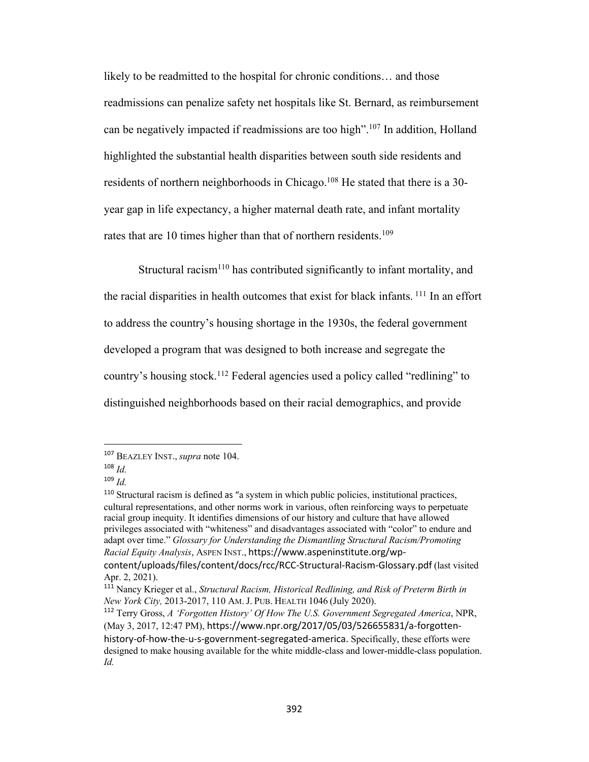likely to be readmitted to the hospital for chronic conditions… and those readmissions can penalize safety net hospitals like St. Bernard, as reimbursement can be negatively impacted if readmissions are too high".107 In addition, Holland highlighted the substantial health disparities between south side residents and residents of northern neighborhoods in Chicago.<sup>108</sup> He stated that there is a 30year gap in life expectancy, a higher maternal death rate, and infant mortality rates that are 10 times higher than that of northern residents.<sup>109</sup>

Structural racism<sup>110</sup> has contributed significantly to infant mortality, and the racial disparities in health outcomes that exist for black infants. <sup>111</sup> In an effort to address the country's housing shortage in the 1930s, the federal government developed a program that was designed to both increase and segregate the country's housing stock.<sup>112</sup> Federal agencies used a policy called "redlining" to distinguished neighborhoods based on their racial demographics, and provide

<sup>107</sup> BEAZLEY INST., *supra* note 104.

<sup>108</sup> *Id.*

<sup>109</sup> *Id.*

<sup>110</sup> Structural racism is defined as "a system in which public policies, institutional practices, cultural representations, and other norms work in various, often reinforcing ways to perpetuate racial group inequity. It identifies dimensions of our history and culture that have allowed privileges associated with "whiteness" and disadvantages associated with "color" to endure and adapt over time." *Glossary for Understanding the Dismantling Structural Racism/Promoting Racial Equity Analysis*, ASPEN INST., https://www.aspeninstitute.org/wp-

content/uploads/files/content/docs/rcc/RCC-Structural-Racism-Glossary.pdf (last visited Apr. 2, 2021).

<sup>111</sup> Nancy Krieger et al., *Structural Racism, Historical Redlining, and Risk of Preterm Birth in New York City,* 2013-2017, 110 AM. J. PUB. HEALTH 1046 (July 2020).

<sup>112</sup> Terry Gross, *A 'Forgotten History' Of How The U.S. Government Segregated America*, NPR, (May 3, 2017, 12:47 PM), https://www.npr.org/2017/05/03/526655831/a-forgottenhistory-of-how-the-u-s-government-segregated-america. Specifically, these efforts were designed to make housing available for the white middle-class and lower-middle-class population. *Id.*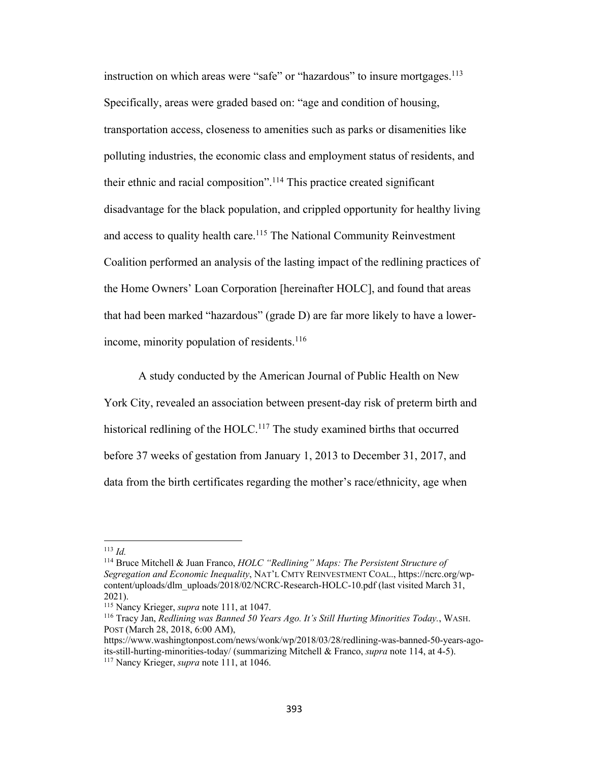instruction on which areas were "safe" or "hazardous" to insure mortgages.<sup>113</sup> Specifically, areas were graded based on: "age and condition of housing, transportation access, closeness to amenities such as parks or disamenities like polluting industries, the economic class and employment status of residents, and their ethnic and racial composition".<sup>114</sup> This practice created significant disadvantage for the black population, and crippled opportunity for healthy living and access to quality health care.<sup>115</sup> The National Community Reinvestment Coalition performed an analysis of the lasting impact of the redlining practices of the Home Owners' Loan Corporation [hereinafter HOLC], and found that areas that had been marked "hazardous" (grade D) are far more likely to have a lowerincome, minority population of residents. $116$ 

A study conducted by the American Journal of Public Health on New York City, revealed an association between present-day risk of preterm birth and historical redlining of the HOLC.<sup>117</sup> The study examined births that occurred before 37 weeks of gestation from January 1, 2013 to December 31, 2017, and data from the birth certificates regarding the mother's race/ethnicity, age when

<sup>113</sup> *Id.*

<sup>114</sup> Bruce Mitchell & Juan Franco, *HOLC "Redlining" Maps: The Persistent Structure of Segregation and Economic Inequality*, NAT'L CMTY REINVESTMENT COAL., https://ncrc.org/wpcontent/uploads/dlm\_uploads/2018/02/NCRC-Research-HOLC-10.pdf (last visited March 31, 2021).

<sup>115</sup> Nancy Krieger, *supra* note 111, at 1047.

<sup>116</sup> Tracy Jan, *Redlining was Banned 50 Years Ago. It's Still Hurting Minorities Today.*, WASH. POST (March 28, 2018, 6:00 AM),

https://www.washingtonpost.com/news/wonk/wp/2018/03/28/redlining-was-banned-50-years-agoits-still-hurting-minorities-today/ (summarizing Mitchell & Franco, *supra* note 114, at 4-5).

<sup>117</sup> Nancy Krieger, *supra* note 111, at 1046.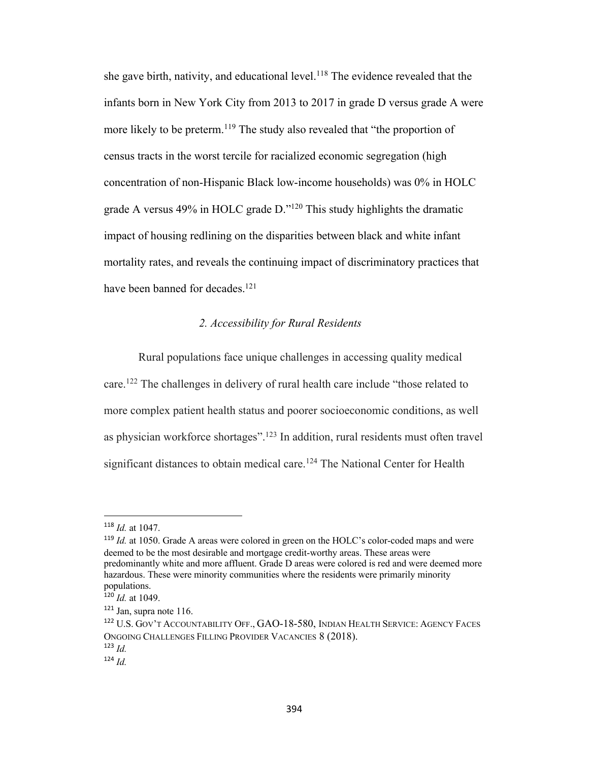she gave birth, nativity, and educational level.<sup>118</sup> The evidence revealed that the infants born in New York City from 2013 to 2017 in grade D versus grade A were more likely to be preterm.<sup>119</sup> The study also revealed that "the proportion of census tracts in the worst tercile for racialized economic segregation (high concentration of non-Hispanic Black low-income households) was 0% in HOLC grade A versus 49% in HOLC grade D."120 This study highlights the dramatic impact of housing redlining on the disparities between black and white infant mortality rates, and reveals the continuing impact of discriminatory practices that have been banned for decades.<sup>121</sup>

#### *2. Accessibility for Rural Residents*

Rural populations face unique challenges in accessing quality medical care.<sup>122</sup> The challenges in delivery of rural health care include "those related to more complex patient health status and poorer socioeconomic conditions, as well as physician workforce shortages".123 In addition, rural residents must often travel significant distances to obtain medical care.<sup>124</sup> The National Center for Health

<sup>118</sup> *Id.* at 1047.

<sup>119</sup> *Id.* at 1050. Grade A areas were colored in green on the HOLC's color-coded maps and were deemed to be the most desirable and mortgage credit-worthy areas. These areas were predominantly white and more affluent. Grade D areas were colored is red and were deemed more hazardous. These were minority communities where the residents were primarily minority populations.

<sup>120</sup> *Id.* at 1049.

<sup>121</sup> Jan, supra note 116.

<sup>122</sup> U.S. GOV'T ACCOUNTABILITY OFF., GAO-18-580, INDIAN HEALTH SERVICE: AGENCY FACES ONGOING CHALLENGES FILLING PROVIDER VACANCIES 8 (2018). <sup>123</sup> *Id.*

 $124$  *Id.*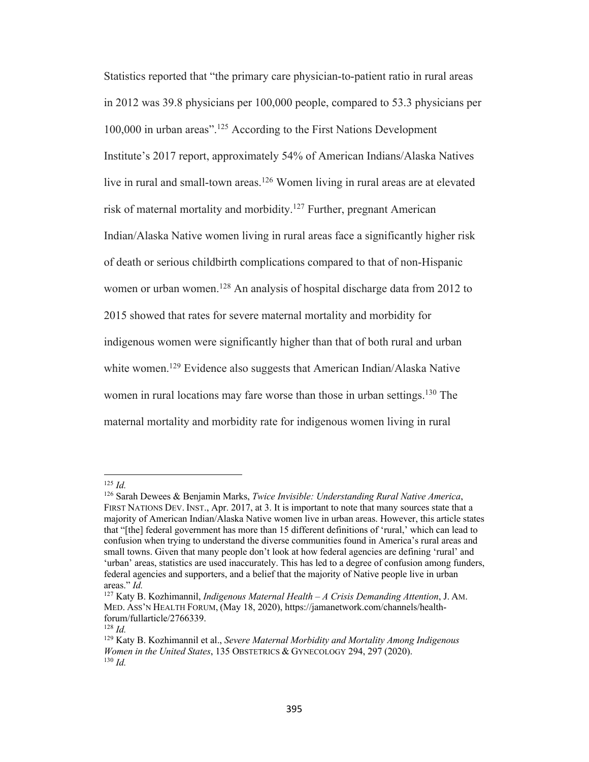Statistics reported that "the primary care physician-to-patient ratio in rural areas in 2012 was 39.8 physicians per 100,000 people, compared to 53.3 physicians per 100,000 in urban areas".125 According to the First Nations Development Institute's 2017 report, approximately 54% of American Indians/Alaska Natives live in rural and small-town areas.<sup>126</sup> Women living in rural areas are at elevated risk of maternal mortality and morbidity.<sup>127</sup> Further, pregnant American Indian/Alaska Native women living in rural areas face a significantly higher risk of death or serious childbirth complications compared to that of non-Hispanic women or urban women.<sup>128</sup> An analysis of hospital discharge data from 2012 to 2015 showed that rates for severe maternal mortality and morbidity for indigenous women were significantly higher than that of both rural and urban white women.<sup>129</sup> Evidence also suggests that American Indian/Alaska Native women in rural locations may fare worse than those in urban settings.<sup>130</sup> The maternal mortality and morbidity rate for indigenous women living in rural

<sup>125</sup> *Id.*

<sup>126</sup> Sarah Dewees & Benjamin Marks, *Twice Invisible: Understanding Rural Native America*, FIRST NATIONS DEV. INST., Apr. 2017, at 3. It is important to note that many sources state that a majority of American Indian/Alaska Native women live in urban areas. However, this article states that "[the] federal government has more than 15 different definitions of 'rural,' which can lead to confusion when trying to understand the diverse communities found in America's rural areas and small towns. Given that many people don't look at how federal agencies are defining 'rural' and 'urban' areas, statistics are used inaccurately. This has led to a degree of confusion among funders, federal agencies and supporters, and a belief that the majority of Native people live in urban areas." *Id.*

<sup>127</sup> Katy B. Kozhimannil, *Indigenous Maternal Health – A Crisis Demanding Attention*, J. AM. MED. ASS'N HEALTH FORUM, (May 18, 2020), https://jamanetwork.com/channels/healthforum/fullarticle/2766339.

<sup>128</sup> *Id.*

<sup>129</sup> Katy B. Kozhimannil et al., *Severe Maternal Morbidity and Mortality Among Indigenous Women in the United States*, 135 OBSTETRICS & GYNECOLOGY 294, 297 (2020). <sup>130</sup> *Id.*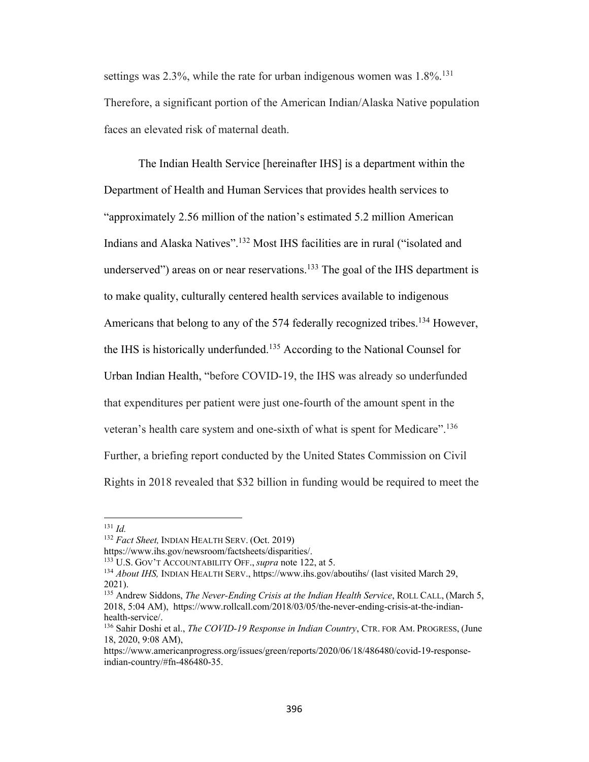settings was 2.3%, while the rate for urban indigenous women was  $1.8\%$ <sup>131</sup> Therefore, a significant portion of the American Indian/Alaska Native population faces an elevated risk of maternal death.

The Indian Health Service [hereinafter IHS] is a department within the Department of Health and Human Services that provides health services to "approximately 2.56 million of the nation's estimated 5.2 million American Indians and Alaska Natives".132 Most IHS facilities are in rural ("isolated and underserved") areas on or near reservations.<sup>133</sup> The goal of the IHS department is to make quality, culturally centered health services available to indigenous Americans that belong to any of the 574 federally recognized tribes.<sup>134</sup> However, the IHS is historically underfunded.135 According to the National Counsel for Urban Indian Health, "before COVID-19, the IHS was already so underfunded that expenditures per patient were just one-fourth of the amount spent in the veteran's health care system and one-sixth of what is spent for Medicare".<sup>136</sup> Further, a briefing report conducted by the United States Commission on Civil Rights in 2018 revealed that \$32 billion in funding would be required to meet the

<sup>131</sup> *Id.*

<sup>132</sup> *Fact Sheet,* INDIAN HEALTH SERV. (Oct. 2019)

https://www.ihs.gov/newsroom/factsheets/disparities/.

<sup>133</sup> U.S. GOV'T ACCOUNTABILITY OFF., *supra* note 122, at 5.

<sup>134</sup> *About IHS,* INDIAN HEALTH SERV., https://www.ihs.gov/aboutihs/ (last visited March 29, 2021).

<sup>135</sup> Andrew Siddons, *The Never-Ending Crisis at the Indian Health Service*, ROLL CALL, (March 5, 2018, 5:04 AM), https://www.rollcall.com/2018/03/05/the-never-ending-crisis-at-the-indianhealth-service/.

<sup>136</sup> Sahir Doshi et al., *The COVID-19 Response in Indian Country*, CTR. FOR AM. PROGRESS, (June 18, 2020, 9:08 AM),

https://www.americanprogress.org/issues/green/reports/2020/06/18/486480/covid-19-responseindian-country/#fn-486480-35.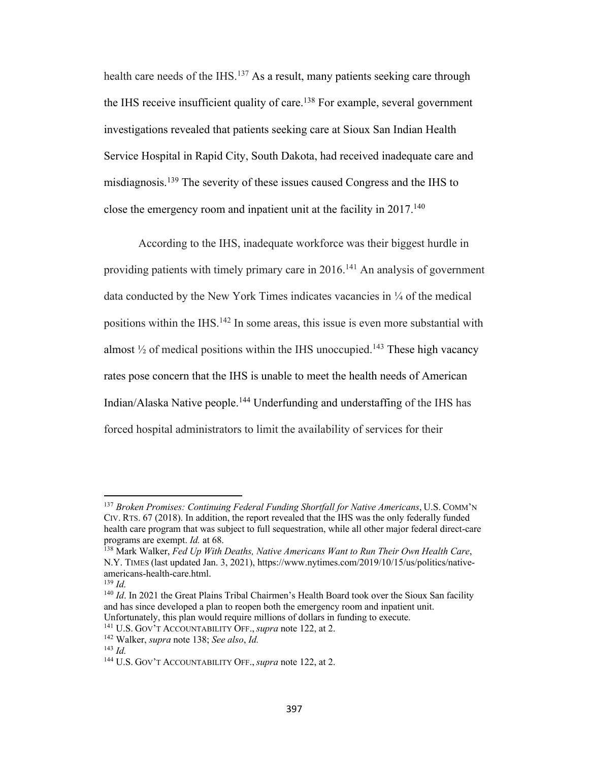health care needs of the IHS.<sup>137</sup> As a result, many patients seeking care through the IHS receive insufficient quality of care.<sup>138</sup> For example, several government investigations revealed that patients seeking care at Sioux San Indian Health Service Hospital in Rapid City, South Dakota, had received inadequate care and misdiagnosis.139 The severity of these issues caused Congress and the IHS to close the emergency room and inpatient unit at the facility in  $2017$ <sup>140</sup>

According to the IHS, inadequate workforce was their biggest hurdle in providing patients with timely primary care in 2016.<sup>141</sup> An analysis of government data conducted by the New York Times indicates vacancies in ¼ of the medical positions within the IHS.<sup>142</sup> In some areas, this issue is even more substantial with almost  $\frac{1}{2}$  of medical positions within the IHS unoccupied.<sup>143</sup> These high vacancy rates pose concern that the IHS is unable to meet the health needs of American Indian/Alaska Native people.144 Underfunding and understaffing of the IHS has forced hospital administrators to limit the availability of services for their

<sup>137</sup> *Broken Promises: Continuing Federal Funding Shortfall for Native Americans*, U.S. COMM'N CIV. RTS. 67 (2018). In addition, the report revealed that the IHS was the only federally funded health care program that was subject to full sequestration, while all other major federal direct-care programs are exempt. *Id.* at 68.

<sup>138</sup> Mark Walker, *Fed Up With Deaths, Native Americans Want to Run Their Own Health Care*, N.Y. TIMES (last updated Jan. 3, 2021), https://www.nytimes.com/2019/10/15/us/politics/nativeamericans-health-care.html.

 $139$  *Id.* 

<sup>&</sup>lt;sup>140</sup> *Id*. In 2021 the Great Plains Tribal Chairmen's Health Board took over the Sioux San facility and has since developed a plan to reopen both the emergency room and inpatient unit. Unfortunately, this plan would require millions of dollars in funding to execute. 141 U.S. GOV'T ACCOUNTABILITY OFF., *supra* note 122, at 2.

<sup>142</sup> Walker, *supra* note 138; *See also*, *Id.*

<sup>143</sup> *Id.*

<sup>144</sup> U.S. GOV'T ACCOUNTABILITY OFF., *supra* note 122, at 2.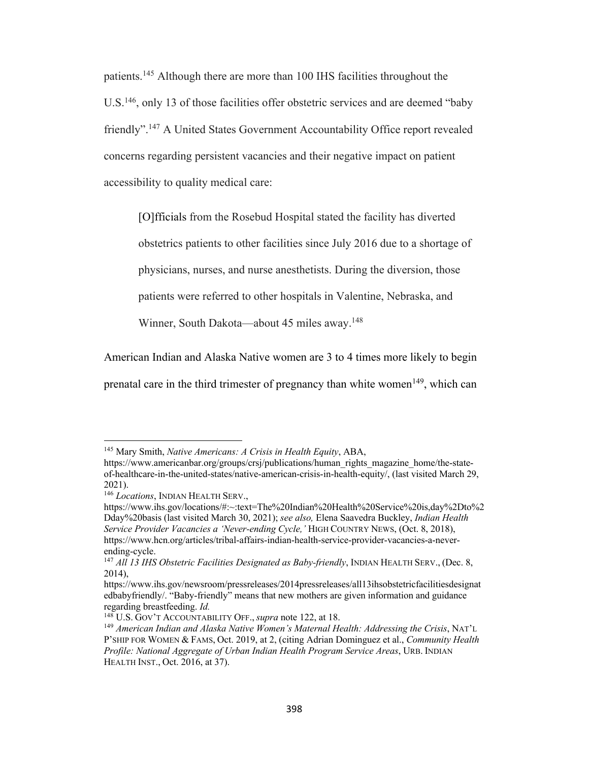patients.145 Although there are more than 100 IHS facilities throughout the U.S.146, only 13 of those facilities offer obstetric services and are deemed "baby friendly".147 A United States Government Accountability Office report revealed concerns regarding persistent vacancies and their negative impact on patient accessibility to quality medical care:

[O]fficials from the Rosebud Hospital stated the facility has diverted

obstetrics patients to other facilities since July 2016 due to a shortage of

physicians, nurses, and nurse anesthetists. During the diversion, those

patients were referred to other hospitals in Valentine, Nebraska, and

Winner, South Dakota—about 45 miles away. 148

American Indian and Alaska Native women are 3 to 4 times more likely to begin

prenatal care in the third trimester of pregnancy than white women<sup>149</sup>, which can

<sup>145</sup> Mary Smith, *Native Americans: A Crisis in Health Equity*, ABA,

https://www.americanbar.org/groups/crsj/publications/human\_rights\_magazine\_home/the-stateof-healthcare-in-the-united-states/native-american-crisis-in-health-equity/, (last visited March 29, 2021).

<sup>146</sup> *Locations*, INDIAN HEALTH SERV.,

https://www.ihs.gov/locations/#:~:text=The%20Indian%20Health%20Service%20is,day%2Dto%2 Dday%20basis (last visited March 30, 2021); *see also,* Elena Saavedra Buckley, *Indian Health Service Provider Vacancies a 'Never-ending Cycle,'* HIGH COUNTRY NEWS, (Oct. 8, 2018), https://www.hcn.org/articles/tribal-affairs-indian-health-service-provider-vacancies-a-never-

ending-cycle.<br><sup>147</sup> *All 13 IHS Obstetric Facilities Designated as Baby-friendly*, INDIAN HEALTH SERV., (Dec. 8, 2014),

https://www.ihs.gov/newsroom/pressreleases/2014pressreleases/all13ihsobstetricfacilitiesdesignat edbabyfriendly/. "Baby-friendly" means that new mothers are given information and guidance regarding breastfeeding. *Id.*

<sup>148</sup> U.S. GOV'T ACCOUNTABILITY OFF., *supra* note 122, at 18.

<sup>149</sup> *American Indian and Alaska Native Women's Maternal Health: Addressing the Crisis*, NAT'L P'SHIP FOR WOMEN & FAMS, Oct. 2019, at 2, (citing Adrian Dominguez et al., *Community Health Profile: National Aggregate of Urban Indian Health Program Service Areas*, URB. INDIAN HEALTH INST., Oct. 2016, at 37).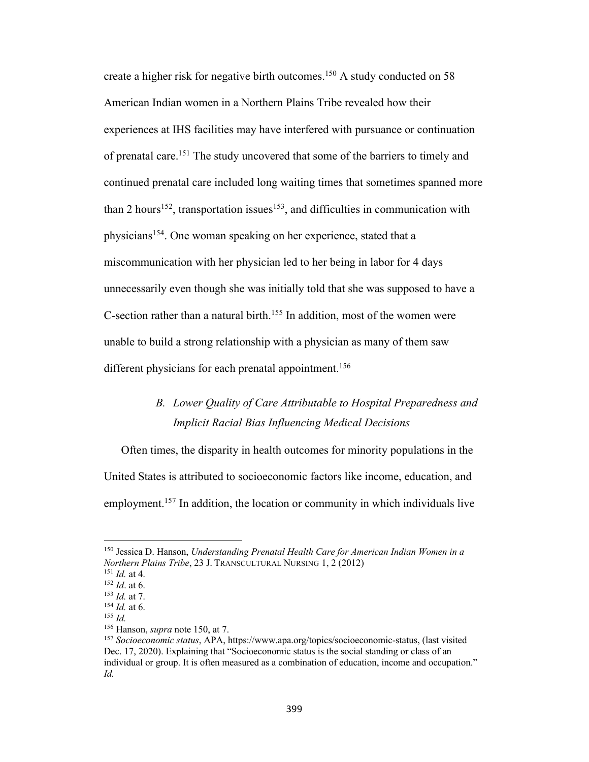create a higher risk for negative birth outcomes.<sup>150</sup> A study conducted on 58 American Indian women in a Northern Plains Tribe revealed how their experiences at IHS facilities may have interfered with pursuance or continuation of prenatal care.<sup>151</sup> The study uncovered that some of the barriers to timely and continued prenatal care included long waiting times that sometimes spanned more than 2 hours<sup>152</sup>, transportation issues<sup>153</sup>, and difficulties in communication with physicians<sup>154</sup>. One woman speaking on her experience, stated that a miscommunication with her physician led to her being in labor for 4 days unnecessarily even though she was initially told that she was supposed to have a C-section rather than a natural birth.155 In addition, most of the women were unable to build a strong relationship with a physician as many of them saw different physicians for each prenatal appointment.<sup>156</sup>

### *B. Lower Quality of Care Attributable to Hospital Preparedness and Implicit Racial Bias Influencing Medical Decisions*

Often times, the disparity in health outcomes for minority populations in the United States is attributed to socioeconomic factors like income, education, and employment.<sup>157</sup> In addition, the location or community in which individuals live

<sup>150</sup> Jessica D. Hanson, *Understanding Prenatal Health Care for American Indian Women in a Northern Plains Tribe*, 23 J. TRANSCULTURAL NURSING 1, 2 (2012)

<sup>&</sup>lt;sup>152</sup> *Id.* at 6.

<sup>153</sup> *Id.* at 7.

<sup>154</sup> *Id.* at 6. <sup>155</sup> *Id.*

<sup>156</sup> Hanson, *supra* note 150, at 7.

<sup>157</sup> *Socioeconomic status*, APA, https://www.apa.org/topics/socioeconomic-status, (last visited Dec. 17, 2020). Explaining that "Socioeconomic status is the social standing or class of an individual or group. It is often measured as a combination of education, income and occupation." *Id.*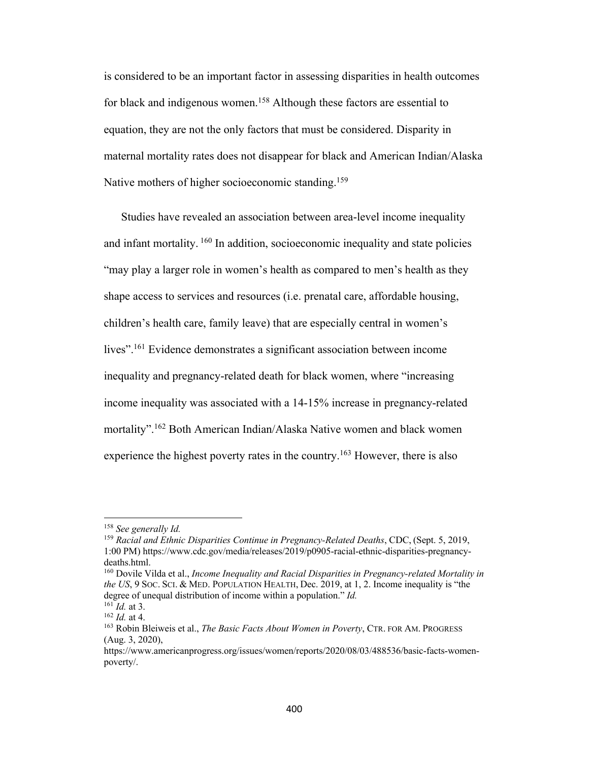is considered to be an important factor in assessing disparities in health outcomes for black and indigenous women.<sup>158</sup> Although these factors are essential to equation, they are not the only factors that must be considered. Disparity in maternal mortality rates does not disappear for black and American Indian/Alaska Native mothers of higher socioeconomic standing.<sup>159</sup>

Studies have revealed an association between area-level income inequality and infant mortality. <sup>160</sup> In addition, socioeconomic inequality and state policies "may play a larger role in women's health as compared to men's health as they shape access to services and resources (i.e. prenatal care, affordable housing, children's health care, family leave) that are especially central in women's lives".<sup>161</sup> Evidence demonstrates a significant association between income inequality and pregnancy-related death for black women, where "increasing income inequality was associated with a 14-15% increase in pregnancy-related mortality".162 Both American Indian/Alaska Native women and black women experience the highest poverty rates in the country.<sup>163</sup> However, there is also

<sup>158</sup> *See generally Id.*

<sup>159</sup> *Racial and Ethnic Disparities Continue in Pregnancy-Related Deaths*, CDC, (Sept. 5, 2019, 1:00 PM) https://www.cdc.gov/media/releases/2019/p0905-racial-ethnic-disparities-pregnancydeaths.html.<br><sup>160</sup> Dovile Vilda et al., *Income Inequality and Racial Disparities in Pregnancy-related Mortality in* 

*the US*, 9 SOC. SCI. & MED. POPULATION HEALTH, Dec. 2019, at 1, 2. Income inequality is "the degree of unequal distribution of income within a population." *Id.*

<sup>161</sup> *Id.* at 3.

<sup>162</sup> *Id.* at 4.

<sup>163</sup> Robin Bleiweis et al., *The Basic Facts About Women in Poverty*, CTR. FOR AM. PROGRESS (Aug. 3, 2020),

https://www.americanprogress.org/issues/women/reports/2020/08/03/488536/basic-facts-womenpoverty/.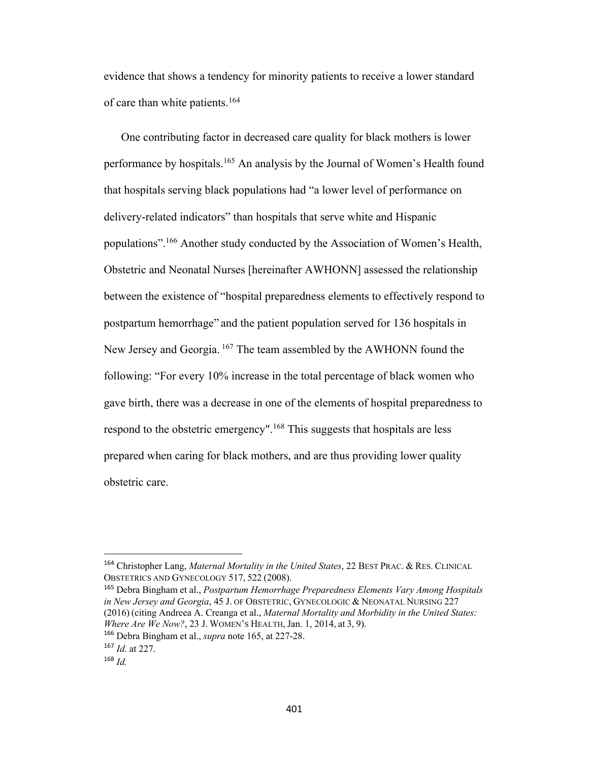evidence that shows a tendency for minority patients to receive a lower standard of care than white patients.164

One contributing factor in decreased care quality for black mothers is lower performance by hospitals.<sup>165</sup> An analysis by the Journal of Women's Health found that hospitals serving black populations had "a lower level of performance on delivery-related indicators" than hospitals that serve white and Hispanic populations".166 Another study conducted by the Association of Women's Health, Obstetric and Neonatal Nurses [hereinafter AWHONN] assessed the relationship between the existence of "hospital preparedness elements to effectively respond to postpartum hemorrhage" and the patient population served for 136 hospitals in New Jersey and Georgia. <sup>167</sup> The team assembled by the AWHONN found the following: "For every 10% increase in the total percentage of black women who gave birth, there was a decrease in one of the elements of hospital preparedness to respond to the obstetric emergency".<sup>168</sup> This suggests that hospitals are less prepared when caring for black mothers, and are thus providing lower quality obstetric care.

<sup>165</sup> Debra Bingham et al., *Postpartum Hemorrhage Preparedness Elements Vary Among Hospitals in New Jersey and Georgia*, 45 J. OF OBSTETRIC, GYNECOLOGIC & NEONATAL NURSING 227 (2016) (citing Andreea A. Creanga et al., *Maternal Mortality and Morbidity in the United States: Where Are We Now?*, 23 J. WOMEN'S HEALTH, Jan. 1, 2014, at 3, 9).

<sup>164</sup> Christopher Lang, *Maternal Mortality in the United States*, 22 BEST PRAC. & RES. CLINICAL OBSTETRICS AND GYNECOLOGY 517, 522 (2008).

<sup>166</sup> Debra Bingham et al., *supra* note 165, at 227-28.

<sup>167</sup> *Id.* at 227.

<sup>168</sup> *Id.*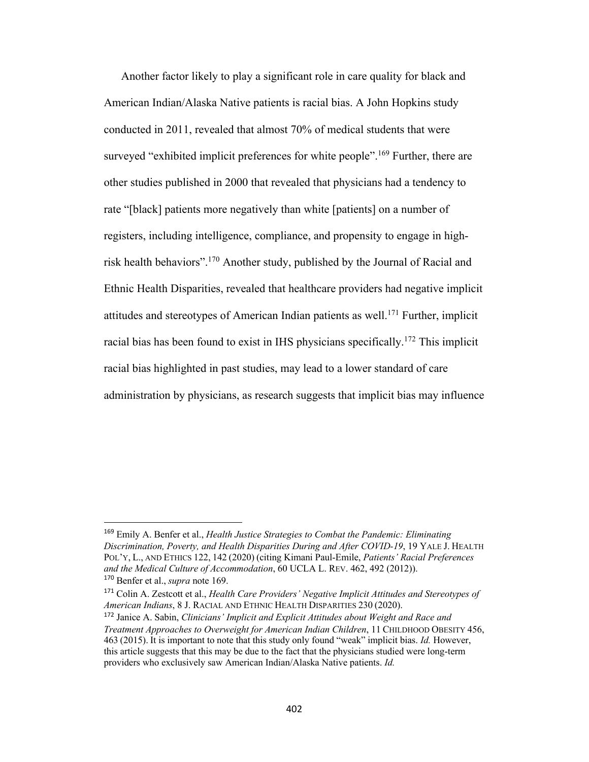Another factor likely to play a significant role in care quality for black and American Indian/Alaska Native patients is racial bias. A John Hopkins study conducted in 2011, revealed that almost 70% of medical students that were surveyed "exhibited implicit preferences for white people".<sup>169</sup> Further, there are other studies published in 2000 that revealed that physicians had a tendency to rate "[black] patients more negatively than white [patients] on a number of registers, including intelligence, compliance, and propensity to engage in highrisk health behaviors".170 Another study, published by the Journal of Racial and Ethnic Health Disparities, revealed that healthcare providers had negative implicit attitudes and stereotypes of American Indian patients as well.171 Further, implicit racial bias has been found to exist in IHS physicians specifically.<sup>172</sup> This implicit racial bias highlighted in past studies, may lead to a lower standard of care administration by physicians, as research suggests that implicit bias may influence

<sup>169</sup> Emily A. Benfer et al., *Health Justice Strategies to Combat the Pandemic: Eliminating Discrimination, Poverty, and Health Disparities During and After COVID-19*, 19 YALE J. HEALTH POL'Y, L., AND ETHICS 122, 142 (2020) (citing Kimani Paul-Emile, *Patients' Racial Preferences and the Medical Culture of Accommodation*, 60 UCLA L. REV. 462, 492 (2012)). <sup>170</sup> Benfer et al., *supra* note 169.

<sup>171</sup> Colin A. Zestcott et al., *Health Care Providers' Negative Implicit Attitudes and Stereotypes of American Indians*, 8 J. RACIAL AND ETHNIC HEALTH DISPARITIES 230 (2020).

<sup>172</sup> Janice A. Sabin, *Clinicians' Implicit and Explicit Attitudes about Weight and Race and Treatment Approaches to Overweight for American Indian Children*, 11 CHILDHOOD OBESITY 456, 463 (2015). It is important to note that this study only found "weak" implicit bias. *Id.* However, this article suggests that this may be due to the fact that the physicians studied were long-term providers who exclusively saw American Indian/Alaska Native patients. *Id.*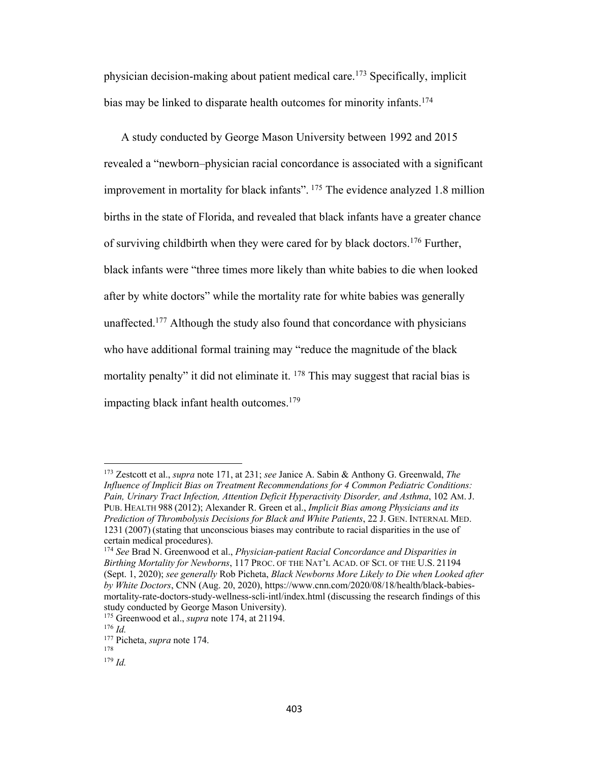physician decision-making about patient medical care.173 Specifically, implicit bias may be linked to disparate health outcomes for minority infants.<sup>174</sup>

A study conducted by George Mason University between 1992 and 2015 revealed a "newborn–physician racial concordance is associated with a significant improvement in mortality for black infants". <sup>175</sup> The evidence analyzed 1.8 million births in the state of Florida, and revealed that black infants have a greater chance of surviving childbirth when they were cared for by black doctors.<sup>176</sup> Further, black infants were "three times more likely than white babies to die when looked after by white doctors" while the mortality rate for white babies was generally unaffected.<sup>177</sup> Although the study also found that concordance with physicians who have additional formal training may "reduce the magnitude of the black mortality penalty" it did not eliminate it. <sup>178</sup> This may suggest that racial bias is impacting black infant health outcomes.179

<sup>173</sup> Zestcott et al., *supra* note 171, at 231; *see* Janice A. Sabin & Anthony G. Greenwald, *The Influence of Implicit Bias on Treatment Recommendations for 4 Common Pediatric Conditions: Pain, Urinary Tract Infection, Attention Deficit Hyperactivity Disorder, and Asthma*, 102 AM. J. PUB. HEALTH 988 (2012); Alexander R. Green et al., *Implicit Bias among Physicians and its Prediction of Thrombolysis Decisions for Black and White Patients*, 22 J. GEN. INTERNAL MED. 1231 (2007) (stating that unconscious biases may contribute to racial disparities in the use of certain medical procedures).

<sup>174</sup> *See* Brad N. Greenwood et al., *Physician-patient Racial Concordance and Disparities in Birthing Mortality for Newborns*, 117 PROC. OF THE NAT'L ACAD. OF SCI. OF THE U.S. 21194 (Sept. 1, 2020); *see generally* Rob Picheta, *Black Newborns More Likely to Die when Looked after by White Doctors*, CNN (Aug. 20, 2020), https://www.cnn.com/2020/08/18/health/black-babiesmortality-rate-doctors-study-wellness-scli-intl/index.html (discussing the research findings of this study conducted by George Mason University).

<sup>175</sup> Greenwood et al., *supra* note 174, at 21194.

<sup>176</sup> *Id.*

<sup>177</sup> Picheta, *supra* note 174. 178

<sup>179</sup> *Id.*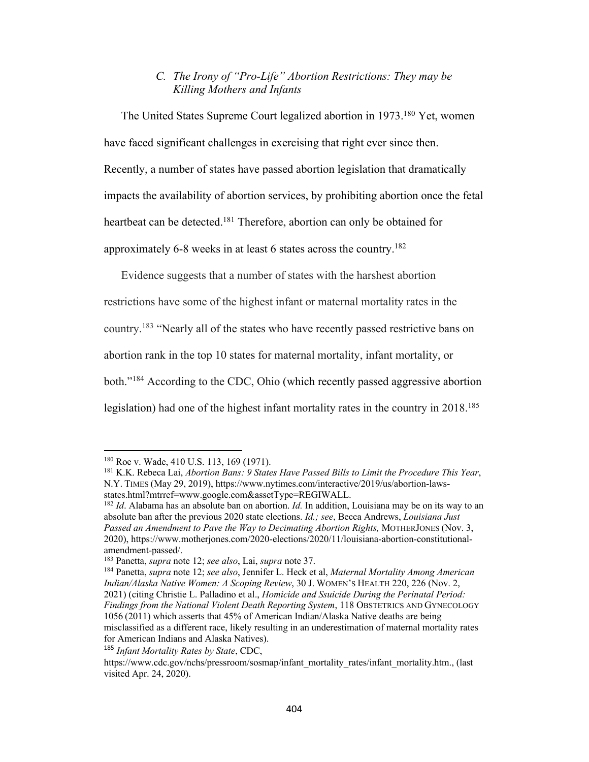#### *C. The Irony of "Pro-Life" Abortion Restrictions: They may be Killing Mothers and Infants*

The United States Supreme Court legalized abortion in 1973.<sup>180</sup> Yet, women have faced significant challenges in exercising that right ever since then. Recently, a number of states have passed abortion legislation that dramatically impacts the availability of abortion services, by prohibiting abortion once the fetal heartbeat can be detected.<sup>181</sup> Therefore, abortion can only be obtained for approximately 6-8 weeks in at least 6 states across the country.182

Evidence suggests that a number of states with the harshest abortion restrictions have some of the highest infant or maternal mortality rates in the country.183 "Nearly all of the states who have recently passed restrictive bans on abortion rank in the top 10 states for maternal mortality, infant mortality, or both."184 According to the CDC, Ohio (which recently passed aggressive abortion legislation) had one of the highest infant mortality rates in the country in 2018.<sup>185</sup>

<sup>180</sup> Roe v. Wade, 410 U.S. 113, 169 (1971).

<sup>181</sup> K.K. Rebeca Lai, *Abortion Bans: 9 States Have Passed Bills to Limit the Procedure This Year*, N.Y. TIMES (May 29, 2019), https://www.nytimes.com/interactive/2019/us/abortion-laws-

states.html?mtrref=www.google.com&assetType=REGIWALL.<br><sup>182</sup> *Id*. Alabama has an absolute ban on abortion. *Id*. In addition, Louisiana may be on its way to an absolute ban after the previous 2020 state elections. *Id.; see*, Becca Andrews, *Louisiana Just Passed an Amendment to Pave the Way to Decimating Abortion Rights,* MOTHERJONES (Nov. 3, 2020), https://www.motherjones.com/2020-elections/2020/11/louisiana-abortion-constitutionalamendment-passed/.

<sup>183</sup> Panetta, *supra* note 12; *see also*, Lai, *supra* note 37.

<sup>184</sup> Panetta, *supra* note 12; *see also*, Jennifer L. Heck et al, *Maternal Mortality Among American Indian/Alaska Native Women: A Scoping Review*, 30 J. WOMEN'S HEALTH 220, 226 (Nov. 2, 2021) (citing Christie L. Palladino et al., *Homicide and Ssuicide During the Perinatal Period: Findings from the National Violent Death Reporting System*, 118 OBSTETRICS AND GYNECOLOGY 1056 (2011) which asserts that 45% of American Indian/Alaska Native deaths are being misclassified as a different race, likely resulting in an underestimation of maternal mortality rates for American Indians and Alaska Natives).

<sup>185</sup> *Infant Mortality Rates by State*, CDC,

https://www.cdc.gov/nchs/pressroom/sosmap/infant\_mortality\_rates/infant\_mortality.htm., (last visited Apr. 24, 2020).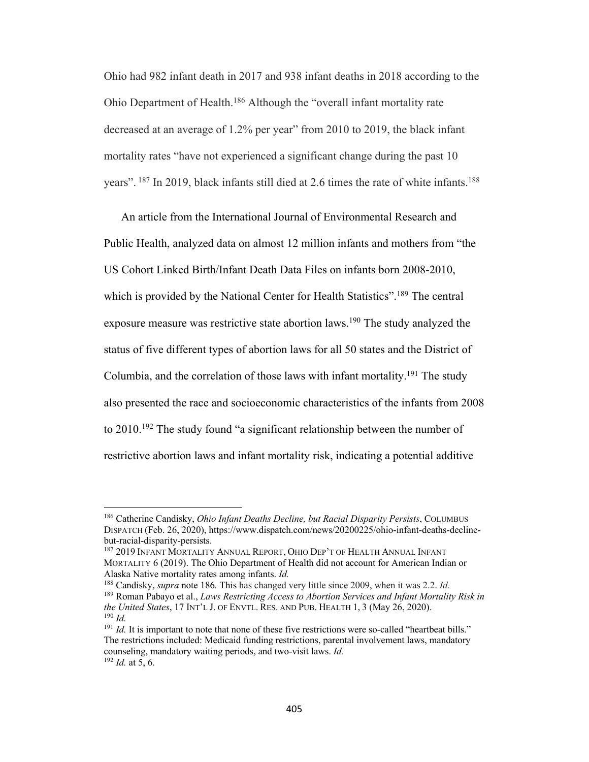Ohio had 982 infant death in 2017 and 938 infant deaths in 2018 according to the Ohio Department of Health.186 Although the "overall infant mortality rate decreased at an average of 1.2% per year" from 2010 to 2019, the black infant mortality rates "have not experienced a significant change during the past 10 years". <sup>187</sup> In 2019, black infants still died at 2.6 times the rate of white infants.<sup>188</sup>

An article from the International Journal of Environmental Research and Public Health, analyzed data on almost 12 million infants and mothers from "the US Cohort Linked Birth/Infant Death Data Files on infants born 2008-2010, which is provided by the National Center for Health Statistics".<sup>189</sup> The central exposure measure was restrictive state abortion laws.<sup>190</sup> The study analyzed the status of five different types of abortion laws for all 50 states and the District of Columbia, and the correlation of those laws with infant mortality.<sup>191</sup> The study also presented the race and socioeconomic characteristics of the infants from 2008 to 2010.192 The study found "a significant relationship between the number of restrictive abortion laws and infant mortality risk, indicating a potential additive

<sup>188</sup> Candisky, *supra* note 186*.* This has changed very little since 2009, when it was 2.2. *Id.* <sup>189</sup> Roman Pabayo et al., *Laws Restricting Access to Abortion Services and Infant Mortality Risk in the United States*, 17 INT'L J. OF ENVTL. RES. AND PUB. HEALTH 1, 3 (May 26, 2020). <sup>190</sup> *Id.*

<sup>186</sup> Catherine Candisky, *Ohio Infant Deaths Decline, but Racial Disparity Persists*, COLUMBUS DISPATCH (Feb. 26, 2020), https://www.dispatch.com/news/20200225/ohio-infant-deaths-declinebut-racial-disparity-persists.

<sup>187</sup> 2019 INFANT MORTALITY ANNUAL REPORT, OHIO DEP'T OF HEALTH ANNUAL INFANT MORTALITY 6 (2019). The Ohio Department of Health did not account for American Indian or Alaska Native mortality rates among infants. *Id.*

 $191$  *Id.* It is important to note that none of these five restrictions were so-called "heartbeat bills." The restrictions included: Medicaid funding restrictions, parental involvement laws, mandatory counseling, mandatory waiting periods, and two-visit laws. *Id.* <sup>192</sup> *Id.* at 5, 6.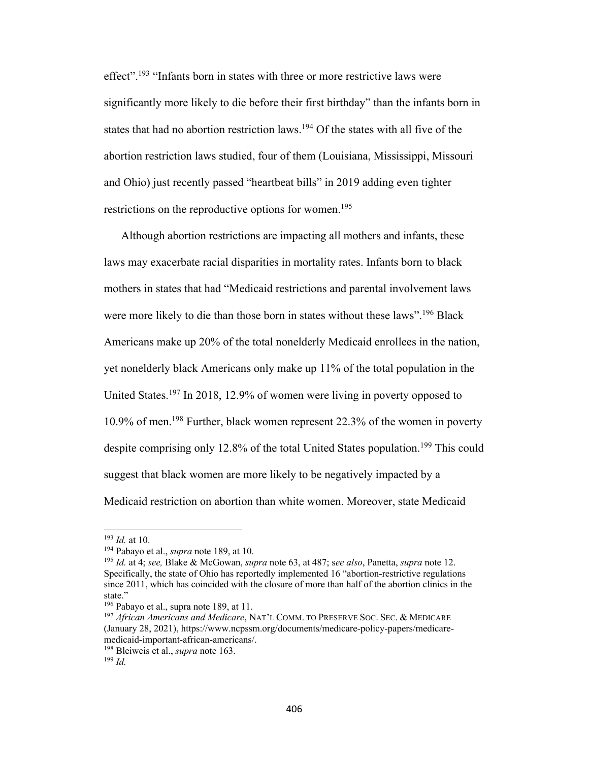effect".<sup>193</sup> "Infants born in states with three or more restrictive laws were significantly more likely to die before their first birthday" than the infants born in states that had no abortion restriction laws.<sup>194</sup> Of the states with all five of the abortion restriction laws studied, four of them (Louisiana, Mississippi, Missouri and Ohio) just recently passed "heartbeat bills" in 2019 adding even tighter restrictions on the reproductive options for women.<sup>195</sup>

Although abortion restrictions are impacting all mothers and infants, these laws may exacerbate racial disparities in mortality rates. Infants born to black mothers in states that had "Medicaid restrictions and parental involvement laws were more likely to die than those born in states without these laws".<sup>196</sup> Black Americans make up 20% of the total nonelderly Medicaid enrollees in the nation, yet nonelderly black Americans only make up 11% of the total population in the United States.197 In 2018, 12.9% of women were living in poverty opposed to 10.9% of men.198 Further, black women represent 22.3% of the women in poverty despite comprising only 12.8% of the total United States population.<sup>199</sup> This could suggest that black women are more likely to be negatively impacted by a Medicaid restriction on abortion than white women. Moreover, state Medicaid

<sup>193</sup> *Id.* at 10.

<sup>194</sup> Pabayo et al., *supra* note 189, at 10.

<sup>195</sup> *Id.* at 4; *see,* Blake & McGowan, *supra* note 63, at 487; s*ee also*, Panetta, *supra* note 12. Specifically, the state of Ohio has reportedly implemented 16 "abortion-restrictive regulations since 2011, which has coincided with the closure of more than half of the abortion clinics in the state."<br><sup>196</sup> Pabayo et al., supra note 189, at 11.

<sup>197</sup> *African Americans and Medicare*, NAT'L COMM. TO PRESERVE SOC. SEC. & MEDICARE (January 28, 2021), https://www.ncpssm.org/documents/medicare-policy-papers/medicaremedicaid-important-african-americans/.

<sup>198</sup> Bleiweis et al., *supra* note 163.

<sup>199</sup> *Id.*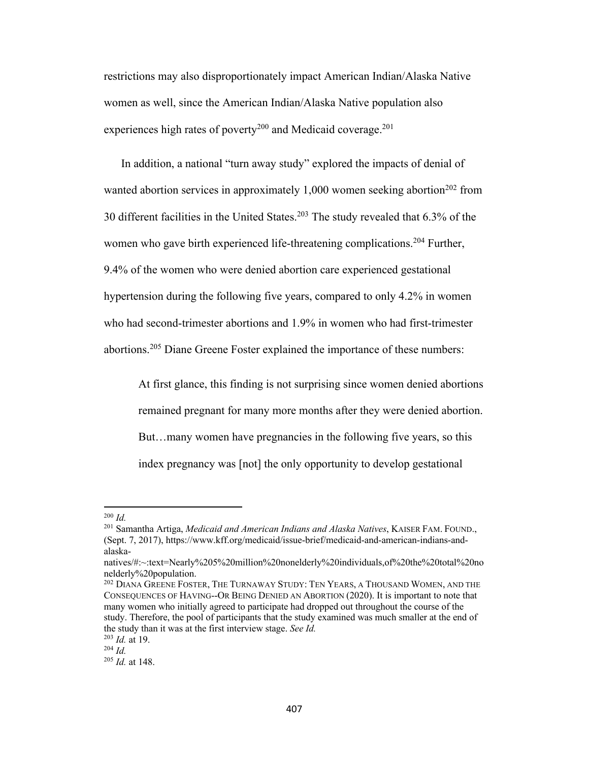restrictions may also disproportionately impact American Indian/Alaska Native women as well, since the American Indian/Alaska Native population also experiences high rates of poverty<sup>200</sup> and Medicaid coverage.<sup>201</sup>

In addition, a national "turn away study" explored the impacts of denial of wanted abortion services in approximately  $1,000$  women seeking abortion<sup>202</sup> from 30 different facilities in the United States.<sup>203</sup> The study revealed that  $6.3\%$  of the women who gave birth experienced life-threatening complications.<sup>204</sup> Further, 9.4% of the women who were denied abortion care experienced gestational hypertension during the following five years, compared to only 4.2% in women who had second-trimester abortions and 1.9% in women who had first-trimester abortions.<sup>205</sup> Diane Greene Foster explained the importance of these numbers:

At first glance, this finding is not surprising since women denied abortions remained pregnant for many more months after they were denied abortion. But…many women have pregnancies in the following five years, so this index pregnancy was [not] the only opportunity to develop gestational

<sup>200</sup> *Id.*

<sup>201</sup> Samantha Artiga, *Medicaid and American Indians and Alaska Natives*, KAISER FAM. FOUND., (Sept. 7, 2017), https://www.kff.org/medicaid/issue-brief/medicaid-and-american-indians-andalaska-

natives/#:~:text=Nearly%205%20million%20nonelderly%20individuals,of%20the%20total%20no nelderly%20population.

<sup>202</sup> DIANA GREENE FOSTER, THE TURNAWAY STUDY: TEN YEARS, A THOUSAND WOMEN, AND THE CONSEQUENCES OF HAVING--OR BEING DENIED AN ABORTION (2020). It is important to note that many women who initially agreed to participate had dropped out throughout the course of the study. Therefore, the pool of participants that the study examined was much smaller at the end of the study than it was at the first interview stage. *See Id.*

<sup>203</sup> *Id.* at 19.

<sup>204</sup> *Id.*

<sup>205</sup> *Id.* at 148.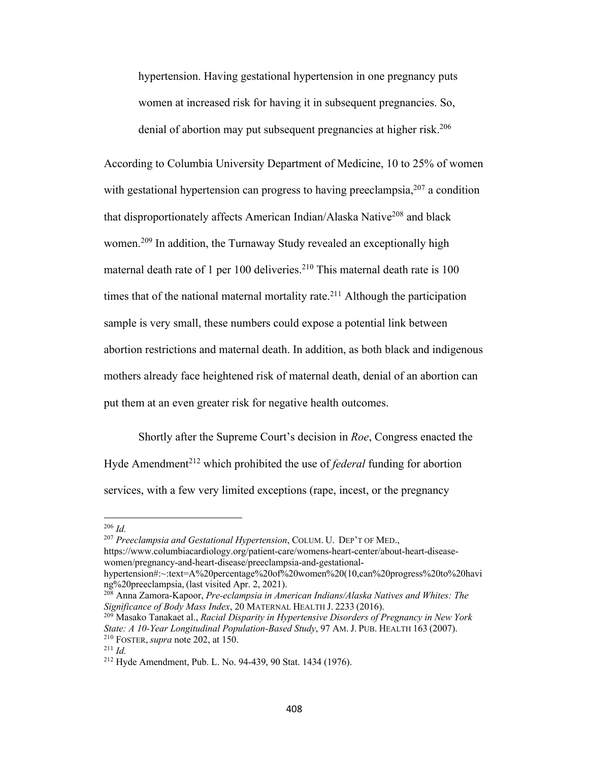hypertension. Having gestational hypertension in one pregnancy puts women at increased risk for having it in subsequent pregnancies. So, denial of abortion may put subsequent pregnancies at higher risk.<sup>206</sup>

According to Columbia University Department of Medicine, 10 to 25% of women with gestational hypertension can progress to having preeclampsia,  $207$  a condition that disproportionately affects American Indian/Alaska Native<sup>208</sup> and black women.<sup>209</sup> In addition, the Turnaway Study revealed an exceptionally high maternal death rate of 1 per 100 deliveries.<sup>210</sup> This maternal death rate is  $100$ times that of the national maternal mortality rate.<sup>211</sup> Although the participation sample is very small, these numbers could expose a potential link between abortion restrictions and maternal death. In addition, as both black and indigenous mothers already face heightened risk of maternal death, denial of an abortion can put them at an even greater risk for negative health outcomes.

Shortly after the Supreme Court's decision in *Roe*, Congress enacted the Hyde Amendment<sup>212</sup> which prohibited the use of *federal* funding for abortion services, with a few very limited exceptions (rape, incest, or the pregnancy

<sup>207</sup> *Preeclampsia and Gestational Hypertension*, COLUM. U. DEP'T OF MED., https://www.columbiacardiology.org/patient-care/womens-heart-center/about-heart-diseasewomen/pregnancy-and-heart-disease/preeclampsia-and-gestational-

<sup>206</sup> *Id.* 

hypertension#:~:text=A%20percentage%20of%20women%20(10,can%20progress%20to%20havi ng%20preeclampsia, (last visited Apr. 2, 2021).

<sup>208</sup> Anna Zamora-Kapoor, *Pre-eclampsia in American Indians/Alaska Natives and Whites: The Significance of Body Mass Index*, 20 MATERNAL HEALTH J. 2233 (2016).

<sup>209</sup> Masako Tanakaet al., *Racial Disparity in Hypertensive Disorders of Pregnancy in New York State: A 10-Year Longitudinal Population-Based Study*, 97 AM. J. PUB. HEALTH 163 (2007). <sup>210</sup> FOSTER, *supra* note 202, at 150.

<sup>211</sup> *Id.*

<sup>212</sup> Hyde Amendment, Pub. L. No. 94-439, 90 Stat. 1434 (1976).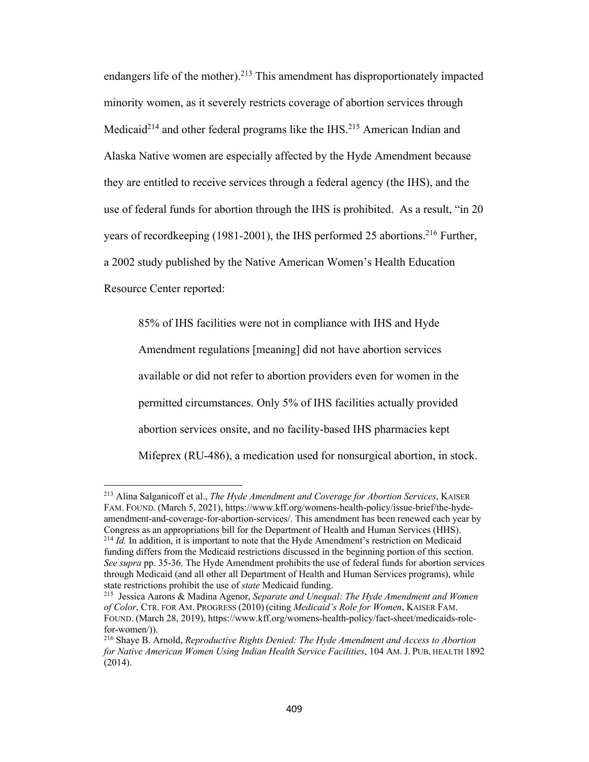endangers life of the mother).<sup>213</sup> This amendment has disproportionately impacted minority women, as it severely restricts coverage of abortion services through Medicaid<sup>214</sup> and other federal programs like the IHS.<sup>215</sup> American Indian and Alaska Native women are especially affected by the Hyde Amendment because they are entitled to receive services through a federal agency (the IHS), and the use of federal funds for abortion through the IHS is prohibited. As a result, "in 20 years of recordkeeping (1981-2001), the IHS performed 25 abortions.<sup>216</sup> Further, a 2002 study published by the Native American Women's Health Education Resource Center reported:

85% of IHS facilities were not in compliance with IHS and Hyde Amendment regulations [meaning] did not have abortion services available or did not refer to abortion providers even for women in the permitted circumstances. Only 5% of IHS facilities actually provided abortion services onsite, and no facility-based IHS pharmacies kept Mifeprex (RU-486), a medication used for nonsurgical abortion, in stock.

<sup>213</sup> Alina Salganicoff et al., *The Hyde Amendment and Coverage for Abortion Services*, KAISER FAM. FOUND. (March 5, 2021), https://www.kff.org/womens-health-policy/issue-brief/the-hydeamendment-and-coverage-for-abortion-services/. This amendment has been renewed each year by Congress as an appropriations bill for the Department of Health and Human Services (HHS). <sup>214</sup> *Id.* In addition, it is important to note that the Hyde Amendment's restriction on Medicaid funding differs from the Medicaid restrictions discussed in the beginning portion of this section. *See supra* pp. 35-36. The Hyde Amendment prohibits the use of federal funds for abortion services through Medicaid (and all other all Department of Health and Human Services programs), while state restrictions prohibit the use of *state* Medicaid funding.

<sup>215</sup> Jessica Aarons & Madina Agenor, *Separate and Unequal: The Hyde Amendment and Women of Color*, CTR. FOR AM. PROGRESS (2010) (citing *Medicaid's Role for Women*, KAISER FAM. FOUND. (March 28, 2019), https://www.kff.org/womens-health-policy/fact-sheet/medicaids-rolefor-women/)).

<sup>216</sup> Shaye B. Arnold, *Reproductive Rights Denied: The Hyde Amendment and Access to Abortion for Native American Women Using Indian Health Service Facilities*, 104 AM. J. PUB. HEALTH 1892 (2014).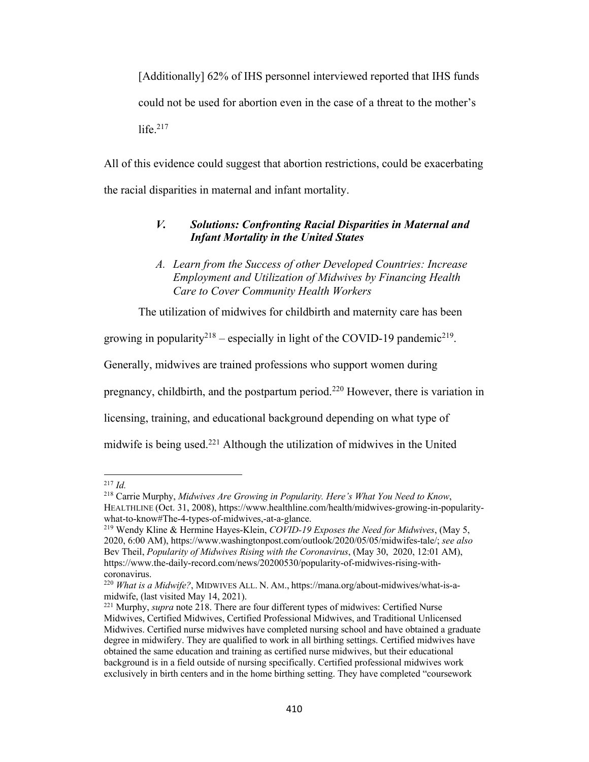[Additionally] 62% of IHS personnel interviewed reported that IHS funds could not be used for abortion even in the case of a threat to the mother's life. $217$ 

All of this evidence could suggest that abortion restrictions, could be exacerbating the racial disparities in maternal and infant mortality.

### *V. Solutions: Confronting Racial Disparities in Maternal and Infant Mortality in the United States*

The utilization of midwives for childbirth and maternity care has been

growing in popularity<sup>218</sup> – especially in light of the COVID-19 pandemic<sup>219</sup>.

Generally, midwives are trained professions who support women during

pregnancy, childbirth, and the postpartum period.220 However, there is variation in

licensing, training, and educational background depending on what type of

midwife is being used.<sup>221</sup> Although the utilization of midwives in the United

*A. Learn from the Success of other Developed Countries: Increase Employment and Utilization of Midwives by Financing Health Care to Cover Community Health Workers*

 $^{217}$  *Id.* 

<sup>218</sup> Carrie Murphy, *Midwives Are Growing in Popularity. Here's What You Need to Know*, HEALTHLINE (Oct. 31, 2008), https://www.healthline.com/health/midwives-growing-in-popularitywhat-to-know#The-4-types-of-midwives,-at-a-glance.

<sup>219</sup> Wendy Kline & Hermine Hayes-Klein, *COVID-19 Exposes the Need for Midwives*, (May 5, 2020, 6:00 AM), https://www.washingtonpost.com/outlook/2020/05/05/midwifes-tale/; *see also* Bev Theil, *Popularity of Midwives Rising with the Coronavirus*, (May 30, 2020, 12:01 AM), https://www.the-daily-record.com/news/20200530/popularity-of-midwives-rising-withcoronavirus.

<sup>220</sup> *What is a Midwife?*, MIDWIVES ALL. N. AM., https://mana.org/about-midwives/what-is-amidwife, (last visited May 14, 2021).

<sup>221</sup> Murphy, *supra* note 218. There are four different types of midwives: Certified Nurse Midwives, Certified Midwives, Certified Professional Midwives, and Traditional Unlicensed Midwives. Certified nurse midwives have completed nursing school and have obtained a graduate degree in midwifery. They are qualified to work in all birthing settings. Certified midwives have obtained the same education and training as certified nurse midwives, but their educational background is in a field outside of nursing specifically. Certified professional midwives work exclusively in birth centers and in the home birthing setting. They have completed "coursework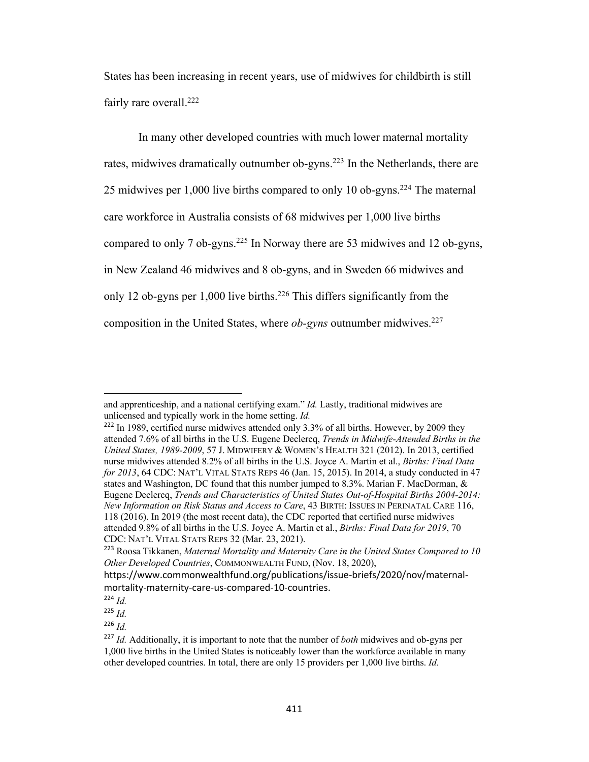States has been increasing in recent years, use of midwives for childbirth is still fairly rare overall.<sup>222</sup>

In many other developed countries with much lower maternal mortality rates, midwives dramatically outnumber ob-gyns.<sup>223</sup> In the Netherlands, there are 25 midwives per 1,000 live births compared to only 10 ob-gyns.<sup>224</sup> The maternal care workforce in Australia consists of 68 midwives per 1,000 live births compared to only 7 ob-gyns.<sup>225</sup> In Norway there are 53 midwives and 12 ob-gyns, in New Zealand 46 midwives and 8 ob-gyns, and in Sweden 66 midwives and only 12 ob-gyns per 1,000 live births.<sup>226</sup> This differs significantly from the composition in the United States, where *ob-gyns* outnumber midwives.<sup>227</sup>

and apprenticeship, and a national certifying exam." *Id.* Lastly, traditional midwives are unlicensed and typically work in the home setting. *Id.*

 $222$  In 1989, certified nurse midwives attended only 3.3% of all births. However, by 2009 they attended 7.6% of all births in the U.S. Eugene Declercq, *Trends in Midwife-Attended Births in the United States, 1989-2009*, 57 J. MIDWIFERY & WOMEN'S HEALTH 321 (2012). In 2013, certified nurse midwives attended 8.2% of all births in the U.S. Joyce A. Martin et al., *Births: Final Data for 2013*, 64 CDC: NAT'L VITAL STATS REPS 46 (Jan. 15, 2015). In 2014, a study conducted in 47 states and Washington, DC found that this number jumped to 8.3%. Marian F. MacDorman, & Eugene Declercq, *Trends and Characteristics of United States Out-of-Hospital Births 2004-2014: New Information on Risk Status and Access to Care*, 43 BIRTH: ISSUES IN PERINATAL CARE 116, 118 (2016). In 2019 (the most recent data), the CDC reported that certified nurse midwives attended 9.8% of all births in the U.S. Joyce A. Martin et al., *Births: Final Data for 2019*, 70 CDC: NAT'L VITAL STATS REPS 32 (Mar. 23, 2021).

<sup>223</sup> Roosa Tikkanen, *Maternal Mortality and Maternity Care in the United States Compared to 10 Other Developed Countries*, COMMONWEALTH FUND, (Nov. 18, 2020),

https://www.commonwealthfund.org/publications/issue-briefs/2020/nov/maternalmortality-maternity-care-us-compared-10-countries.

<sup>224</sup> *Id.*

<sup>225</sup> *Id.*

 $226$  *Id.* 

<sup>227</sup> *Id.* Additionally, it is important to note that the number of *both* midwives and ob-gyns per 1,000 live births in the United States is noticeably lower than the workforce available in many other developed countries. In total, there are only 15 providers per 1,000 live births. *Id.*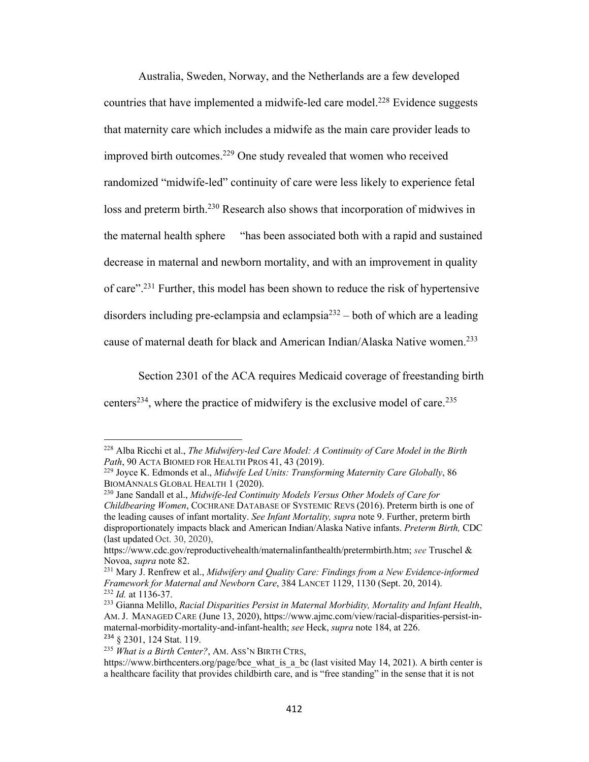Australia, Sweden, Norway, and the Netherlands are a few developed countries that have implemented a midwife-led care model.<sup>228</sup> Evidence suggests that maternity care which includes a midwife as the main care provider leads to improved birth outcomes.<sup>229</sup> One study revealed that women who received randomized "midwife-led" continuity of care were less likely to experience fetal loss and preterm birth.<sup>230</sup> Research also shows that incorporation of midwives in the maternal health sphere "has been associated both with a rapid and sustained decrease in maternal and newborn mortality, and with an improvement in quality of care".231 Further, this model has been shown to reduce the risk of hypertensive disorders including pre-eclampsia and eclampsia $2^{32}$  – both of which are a leading cause of maternal death for black and American Indian/Alaska Native women.<sup>233</sup>

Section 2301 of the ACA requires Medicaid coverage of freestanding birth centers<sup>234</sup>, where the practice of midwifery is the exclusive model of care.<sup>235</sup>

<sup>228</sup> Alba Ricchi et al., *The Midwifery-led Care Model: A Continuity of Care Model in the Birth Path*, 90 ACTA BIOMED FOR HEALTH PROS 41, 43 (2019).

<sup>229</sup> Joyce K. Edmonds et al., *Midwife Led Units: Transforming Maternity Care Globally*, 86 BIOMANNALS GLOBAL HEALTH 1 (2020).

<sup>230</sup> Jane Sandall et al., *Midwife-led Continuity Models Versus Other Models of Care for Childbearing Women*, COCHRANE DATABASE OF SYSTEMIC REVS (2016). Preterm birth is one of the leading causes of infant mortality. *See Infant Mortality, supra* note 9. Further, preterm birth disproportionately impacts black and American Indian/Alaska Native infants. *Preterm Birth,* CDC (last updated Oct. 30, 2020),

https://www.cdc.gov/reproductivehealth/maternalinfanthealth/pretermbirth.htm; *see* Truschel & Novoa, *supra* note 82.

<sup>231</sup> Mary J. Renfrew et al., *Midwifery and Quality Care: Findings from a New Evidence-informed Framework for Maternal and Newborn Care*, 384 LANCET 1129, 1130 (Sept. 20, 2014). <sup>232</sup> *Id.* at 1136-37.

<sup>233</sup> Gianna Melillo, *Racial Disparities Persist in Maternal Morbidity, Mortality and Infant Health*, AM. J. MANAGED CARE (June 13, 2020), https://www.ajmc.com/view/racial-disparities-persist-inmaternal-morbidity-mortality-and-infant-health; *see* Heck, *supra* note 184, at 226. <sup>234</sup> § 2301, 124 Stat. 119.

<sup>235</sup> *What is a Birth Center?*, AM. ASS'N BIRTH CTRS,

https://www.birthcenters.org/page/bce\_what\_is\_a\_bc (last visited May 14, 2021). A birth center is a healthcare facility that provides childbirth care, and is "free standing" in the sense that it is not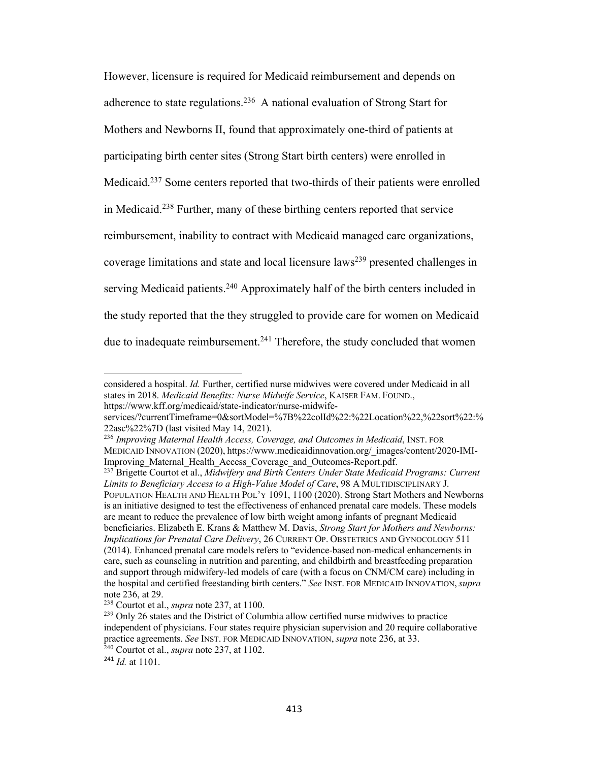However, licensure is required for Medicaid reimbursement and depends on adherence to state regulations.236 A national evaluation of Strong Start for Mothers and Newborns II, found that approximately one-third of patients at participating birth center sites (Strong Start birth centers) were enrolled in Medicaid.237 Some centers reported that two-thirds of their patients were enrolled in Medicaid.238 Further, many of these birthing centers reported that service reimbursement, inability to contract with Medicaid managed care organizations, coverage limitations and state and local licensure laws<sup>239</sup> presented challenges in serving Medicaid patients.<sup>240</sup> Approximately half of the birth centers included in the study reported that the they struggled to provide care for women on Medicaid due to inadequate reimbursement.<sup>241</sup> Therefore, the study concluded that women

considered a hospital. *Id.* Further, certified nurse midwives were covered under Medicaid in all states in 2018. *Medicaid Benefits: Nurse Midwife Service*, KAISER FAM. FOUND., https://www.kff.org/medicaid/state-indicator/nurse-midwife-

services/?currentTimeframe=0&sortModel=%7B%22colId%22:%22Location%22,%22sort%22:% 22asc%22%7D (last visited May 14, 2021).

<sup>236</sup> *Improving Maternal Health Access, Coverage, and Outcomes in Medicaid*, INST. FOR MEDICAID INNOVATION (2020), https://www.medicaidinnovation.org/\_images/content/2020-IMI-Improving Maternal Health Access Coverage and Outcomes-Report.pdf.

<sup>237</sup> Brigette Courtot et al., *Midwifery and Birth Centers Under State Medicaid Programs: Current Limits to Beneficiary Access to a High-Value Model of Care*, 98 A MULTIDISCIPLINARY J. POPULATION HEALTH AND HEALTH POL'Y 1091, 1100 (2020). Strong Start Mothers and Newborns is an initiative designed to test the effectiveness of enhanced prenatal care models. These models are meant to reduce the prevalence of low birth weight among infants of pregnant Medicaid beneficiaries. Elizabeth E. Krans & Matthew M. Davis, *Strong Start for Mothers and Newborns: Implications for Prenatal Care Delivery*, 26 CURRENT OP. OBSTETRICS AND GYNOCOLOGY 511 (2014). Enhanced prenatal care models refers to "evidence-based non-medical enhancements in care, such as counseling in nutrition and parenting, and childbirth and breastfeeding preparation and support through midwifery-led models of care (with a focus on CNM/CM care) including in the hospital and certified freestanding birth centers." *See* INST. FOR MEDICAID INNOVATION, *supra*  note 236, at 29.

<sup>238</sup> Courtot et al., *supra* note 237, at 1100.

<sup>239</sup> Only 26 states and the District of Columbia allow certified nurse midwives to practice independent of physicians. Four states require physician supervision and 20 require collaborative practice agreements. *See* INST. FOR MEDICAID INNOVATION, *supra* note 236, at 33.

<sup>240</sup> Courtot et al., *supra* note 237, at 1102.

<sup>241</sup> *Id.* at 1101.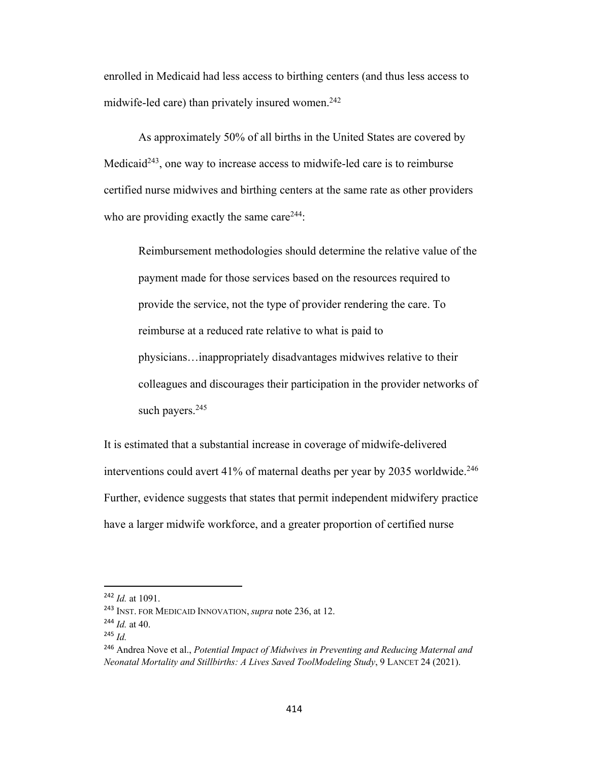enrolled in Medicaid had less access to birthing centers (and thus less access to midwife-led care) than privately insured women.<sup>242</sup>

As approximately 50% of all births in the United States are covered by Medicaid<sup>243</sup>, one way to increase access to midwife-led care is to reimburse certified nurse midwives and birthing centers at the same rate as other providers who are providing exactly the same care<sup>244</sup>:

Reimbursement methodologies should determine the relative value of the payment made for those services based on the resources required to provide the service, not the type of provider rendering the care. To reimburse at a reduced rate relative to what is paid to physicians…inappropriately disadvantages midwives relative to their colleagues and discourages their participation in the provider networks of such payers.<sup>245</sup>

It is estimated that a substantial increase in coverage of midwife-delivered interventions could avert 41% of maternal deaths per year by 2035 worldwide.<sup>246</sup> Further, evidence suggests that states that permit independent midwifery practice have a larger midwife workforce, and a greater proportion of certified nurse

<sup>242</sup> *Id.* at 1091.

<sup>243</sup> INST. FOR MEDICAID INNOVATION, *supra* note 236, at 12.

 $^{244}$  *Id.* at 40.

<sup>245</sup> *Id.*

<sup>246</sup> Andrea Nove et al., *Potential Impact of Midwives in Preventing and Reducing Maternal and Neonatal Mortality and Stillbirths: A Lives Saved ToolModeling Study*, 9 LANCET 24 (2021).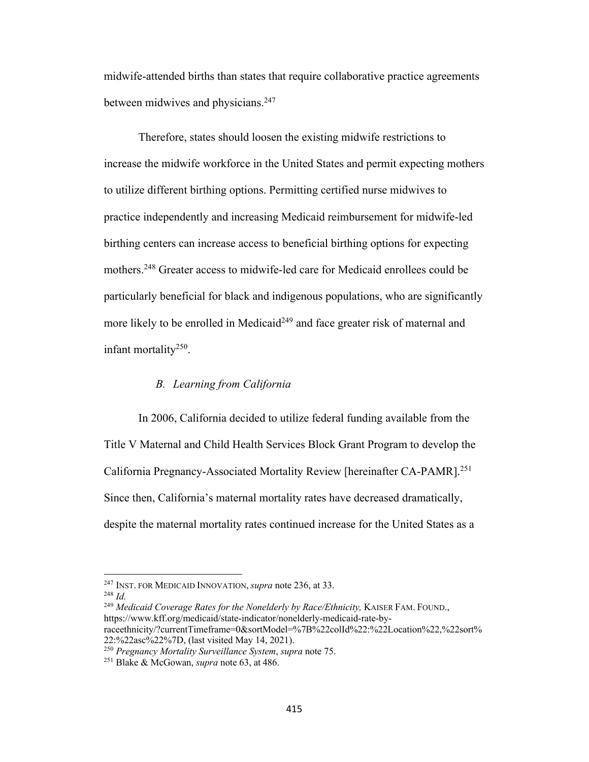midwife-attended births than states that require collaborative practice agreements between midwives and physicians.<sup>247</sup>

Therefore, states should loosen the existing midwife restrictions to increase the midwife workforce in the United States and permit expecting mothers to utilize different birthing options. Permitting certified nurse midwives to practice independently and increasing Medicaid reimbursement for midwife-led birthing centers can increase access to beneficial birthing options for expecting mothers.248 Greater access to midwife-led care for Medicaid enrollees could be particularly beneficial for black and indigenous populations, who are significantly more likely to be enrolled in Medicaid<sup>249</sup> and face greater risk of maternal and infant mortality250.

#### *B. Learning from California*

In 2006, California decided to utilize federal funding available from the Title V Maternal and Child Health Services Block Grant Program to develop the California Pregnancy-Associated Mortality Review [hereinafter CA-PAMR].251 Since then, California's maternal mortality rates have decreased dramatically, despite the maternal mortality rates continued increase for the United States as a

<sup>247</sup> INST. FOR MEDICAID INNOVATION, *supra* note 236, at 33.

<sup>248</sup> *Id.* 

<sup>&</sup>lt;sup>249</sup> Medicaid Coverage Rates for the Nonelderly by Race/Ethnicity, KAISER FAM. FOUND., https://www.kff.org/medicaid/state-indicator/nonelderly-medicaid-rate-byraceethnicity/?currentTimeframe=0&sortModel=%7B%22colId%22:%22Location%22,%22sort%

<sup>22:%22</sup>asc%22%7D, (last visited May 14, 2021).

<sup>250</sup> *Pregnancy Mortality Surveillance System*, *supra* note 75.

<sup>251</sup> Blake & McGowan, *supra* note 63, at 486.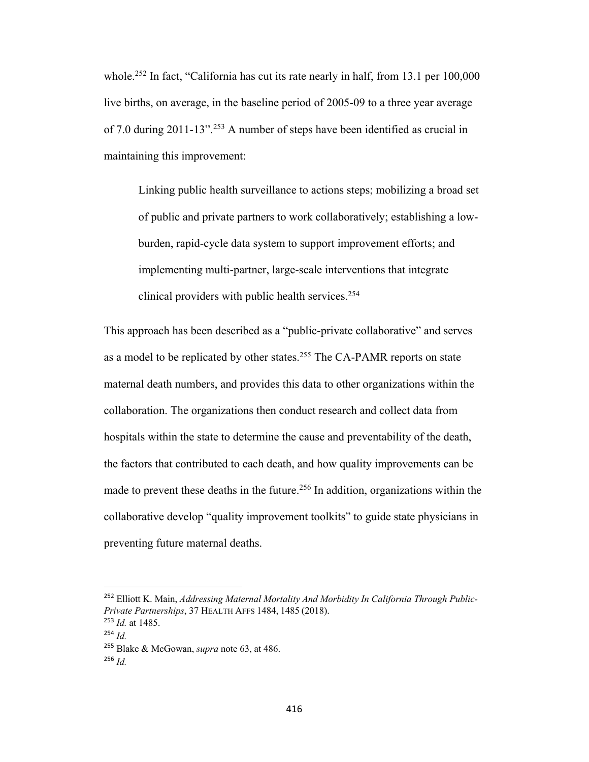whole.<sup>252</sup> In fact, "California has cut its rate nearly in half, from 13.1 per 100,000 live births, on average, in the baseline period of 2005-09 to a three year average of 7.0 during 2011-13".253 A number of steps have been identified as crucial in maintaining this improvement:

Linking public health surveillance to actions steps; mobilizing a broad set of public and private partners to work collaboratively; establishing a lowburden, rapid-cycle data system to support improvement efforts; and implementing multi-partner, large-scale interventions that integrate clinical providers with public health services.<sup>254</sup>

This approach has been described as a "public-private collaborative" and serves as a model to be replicated by other states.<sup>255</sup> The CA-PAMR reports on state maternal death numbers, and provides this data to other organizations within the collaboration. The organizations then conduct research and collect data from hospitals within the state to determine the cause and preventability of the death, the factors that contributed to each death, and how quality improvements can be made to prevent these deaths in the future.<sup>256</sup> In addition, organizations within the collaborative develop "quality improvement toolkits" to guide state physicians in preventing future maternal deaths.

<sup>252</sup> Elliott K. Main, *Addressing Maternal Mortality And Morbidity In California Through Public-Private Partnerships*, 37 HEALTH AFFS 1484, 1485 (2018).

<sup>253</sup> *Id.* at 1485.

<sup>254</sup> *Id.*

<sup>255</sup> Blake & McGowan, *supra* note 63, at 486.

<sup>256</sup> *Id.*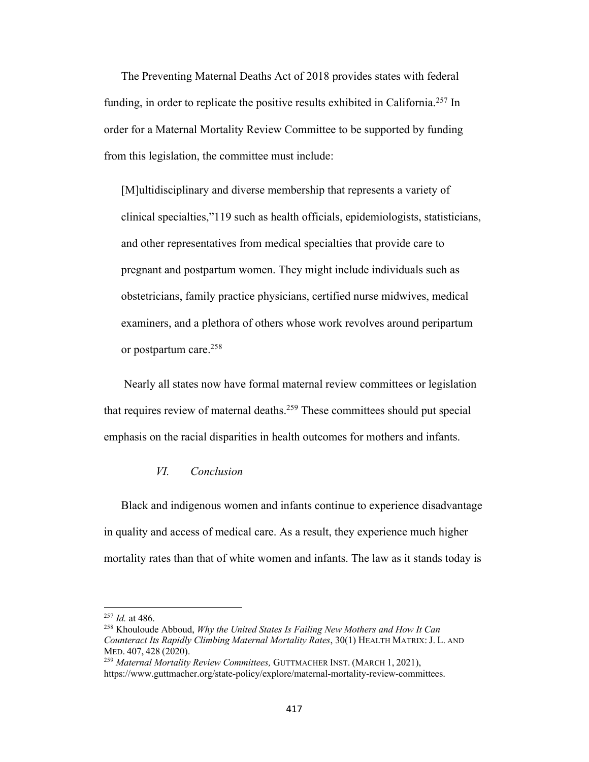The Preventing Maternal Deaths Act of 2018 provides states with federal funding, in order to replicate the positive results exhibited in California.<sup>257</sup> In order for a Maternal Mortality Review Committee to be supported by funding from this legislation, the committee must include:

[M]ultidisciplinary and diverse membership that represents a variety of clinical specialties,"119 such as health officials, epidemiologists, statisticians, and other representatives from medical specialties that provide care to pregnant and postpartum women. They might include individuals such as obstetricians, family practice physicians, certified nurse midwives, medical examiners, and a plethora of others whose work revolves around peripartum or postpartum care.<sup>258</sup>

Nearly all states now have formal maternal review committees or legislation that requires review of maternal deaths.<sup>259</sup> These committees should put special emphasis on the racial disparities in health outcomes for mothers and infants.

#### *VI. Conclusion*

Black and indigenous women and infants continue to experience disadvantage in quality and access of medical care. As a result, they experience much higher mortality rates than that of white women and infants. The law as it stands today is

<sup>257</sup> *Id.* at 486. 258 Khouloude Abboud, *Why the United States Is Failing New Mothers and How It Can Counteract Its Rapidly Climbing Maternal Mortality Rates*, 30(1) HEALTH MATRIX: J. L. AND MED. 407, 428 (2020).

<sup>259</sup> *Maternal Mortality Review Committees,* GUTTMACHER INST. (MARCH 1, 2021), https://www.guttmacher.org/state-policy/explore/maternal-mortality-review-committees.